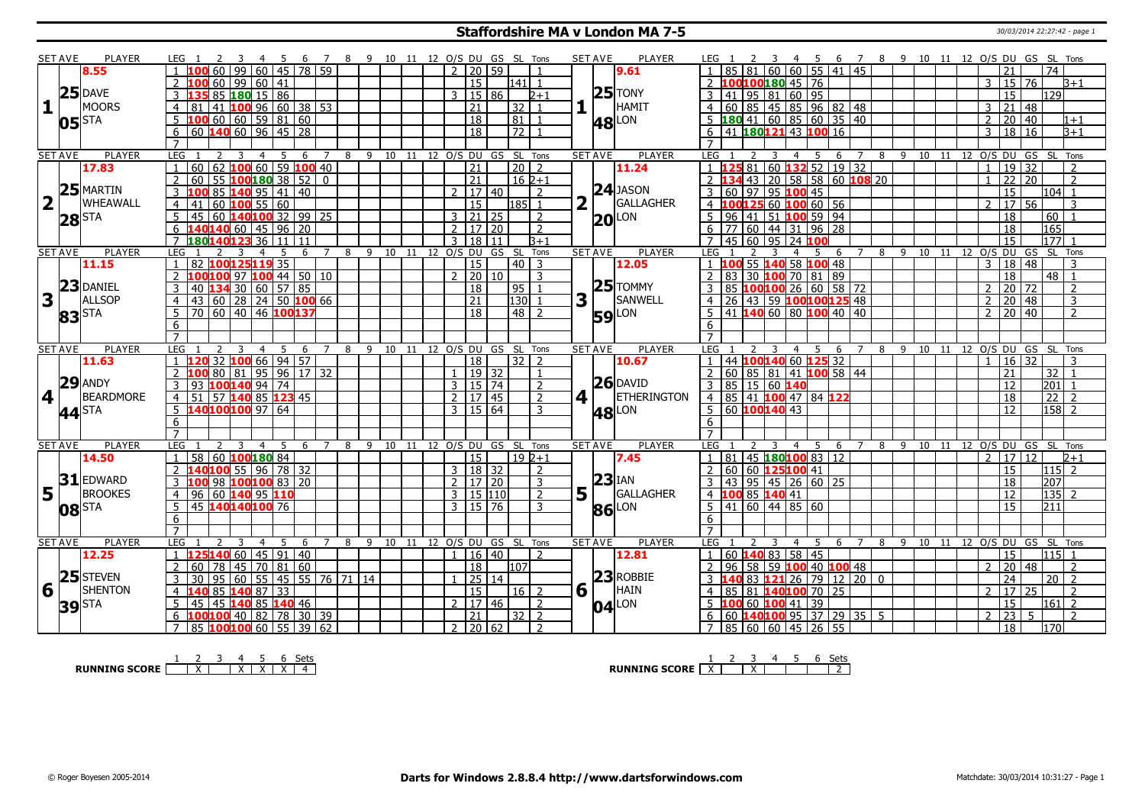#### **Staffordshire MA v London MA 7-5** 30/03/2014 22:27:42 - page 1

|                         | <b>SET AVE</b>                    | <b>PLAYER</b>    | LEG 1                             | - 4                                                                  | - 5<br>- 6  |                     |     | 7 8 9 10 11 12 O/S DU GS SL Tons |       |                |                             |                 |                |   | <b>SET AVE</b><br><b>PLAYER</b> | 7 8 9 10 11 12 O/S DU GS SL Tons<br>LEG 1<br>456                                                                                                    |
|-------------------------|-----------------------------------|------------------|-----------------------------------|----------------------------------------------------------------------|-------------|---------------------|-----|----------------------------------|-------|----------------|-----------------------------|-----------------|----------------|---|---------------------------------|-----------------------------------------------------------------------------------------------------------------------------------------------------|
|                         |                                   | 8.55             |                                   | 60 <sup>1</sup><br>99                                                | 60 45 78 59 |                     |     |                                  |       |                | $2 \mid 20 \mid 59$         |                 |                |   | 9.61                            | 81   60   60   55   41   45<br>$\overline{74}$<br>21                                                                                                |
|                         |                                   |                  |                                   | 60   99   60   41                                                    |             |                     |     |                                  |       |                | 15                          | 141  1          |                |   |                                 | 00100180 45 76<br>15 76<br>3<br>B+1                                                                                                                 |
|                         |                                   | $25$ DAVE        |                                   | 85 180 15 86                                                         |             |                     |     |                                  |       | 3              | 15 86                       |                 | $2 + 1$        |   | $25$ TONY                       | $95$ 81 60 95<br>15<br>129<br>41 l                                                                                                                  |
| $\mathbf{1}$            |                                   | <b>MOORS</b>     | 4<br>81                           | 41 100 96 60 38 53                                                   |             |                     |     |                                  |       |                | $\overline{21}$             | 32              | $\overline{1}$ |   | <b>HAMIT</b>                    | 60 85 45 85 96 82 48<br>3<br>21<br>48<br>4                                                                                                          |
|                         |                                   |                  |                                   | 60   60   59   81   60                                               |             |                     |     |                                  |       |                | $\overline{18}$             | 81              | $\overline{1}$ |   |                                 | 180 41 60 85 60 35 40<br>20 40<br>2<br>1+1                                                                                                          |
|                         | $05$ $\overline{\phantom{a}}$ STA |                  |                                   | $\overline{60}$ 140 $\overline{60}$ 96 45 28                         |             |                     |     |                                  |       |                | 18                          | $\frac{7}{2}$ 1 |                |   | <b>48</b> LON                   | 41 180121 43 100 16<br>$\overline{B+1}$<br>3                                                                                                        |
|                         |                                   |                  | 6<br>$\overline{7}$               |                                                                      |             |                     |     |                                  |       |                |                             |                 |                |   |                                 | 18 16<br>6<br>$\overline{7}$                                                                                                                        |
|                         |                                   | PLAYER           |                                   |                                                                      |             | $\overline{7}$      |     |                                  |       |                |                             |                 |                |   | <b>PLAYER</b>                   | 8 9 10 11 12 0/S DU GS SL Tons                                                                                                                      |
|                         | <b>SET AVE</b>                    | 17.83            | LEG<br>60                         | 4<br>62 100 60 59 100 40                                             | 5<br>6      |                     |     | 8 9 10 11 12 O/S DU GS SL Tons   |       |                | 21                          | $\sqrt{20}$ 2   |                |   | <b>SET AVE</b>                  | LEG<br>3<br>4<br>-5<br>6<br>7<br>81   60   132   52   19   32<br>19<br>32<br>$\overline{1}$<br>$\overline{2}$<br>$\overline{1}$                     |
|                         |                                   |                  |                                   |                                                                      |             |                     |     |                                  |       |                |                             |                 |                |   | 11.24                           | $\overline{2}$<br>$\overline{2}$                                                                                                                    |
|                         |                                   | $25$ MARTIN      | $\mathcal{P}$<br>60               | 55 $100180$ 38 52 0                                                  |             |                     |     |                                  |       |                | $\overline{21}$             | $162+1$         |                |   | $24$ JASON                      | 43 20 58 58 60 108 20<br>$\overline{22}$<br>20<br>$\mathbf{1}$                                                                                      |
|                         |                                   |                  | 3                                 | $85 \, 140 \, 95 \, 141 \, 140$                                      |             |                     |     |                                  |       | $\mathcal{L}$  | $\sqrt{17}$ 40              |                 | $\mathcal{L}$  |   |                                 | $\overline{15}$<br>97 95 100 45<br>104 1<br>60                                                                                                      |
| $\overline{\mathbf{2}}$ |                                   | WHEAWALL         | 41                                | 60 $100$ 55 60                                                       |             |                     |     |                                  |       |                | 15                          | l185l 1         |                |   | GALLAGHER                       | 60 100 60 56<br>$17 \,$ 56<br>$\overline{2}$<br>3<br>100125                                                                                         |
|                         | $28$ STA                          |                  | 5<br>45                           | 60 $140100$ 32   99   25                                             |             |                     |     |                                  |       |                | $3 \mid 21 \mid 25$         |                 | 2              |   | $20$ LON                        | 96 41 51 100 59 94<br>18<br>60                                                                                                                      |
|                         |                                   |                  | 6                                 | 40140 60 45 96 20                                                    |             |                     |     |                                  |       | $\overline{2}$ | 17 20                       |                 | $\overline{z}$ |   |                                 | 165<br>60 44 31 96 28<br>77<br>18<br>6                                                                                                              |
|                         |                                   |                  |                                   | 18014012336 11 11                                                    |             |                     |     |                                  |       | $\mathbf{3}$   | 18<br>11                    |                 | $B+1$          |   |                                 | 177<br>$45$ 60 95 24 100<br>15                                                                                                                      |
|                         | <b>SET AVE</b>                    | <b>PLAYER</b>    | LEG.                              | 3                                                                    | 5           | $\overline{7}$<br>6 | 8   | $9 \t10 \t11$                    |       | 12 0/S DU      |                             | GS SL           | Tons           |   | <b>SET AVE</b><br><b>PLAYER</b> | LEG<br>8<br>$9 \overline{10}$<br>11 12 0/S DU GS<br>SL Tons<br>$\overline{4}$<br>5<br>6                                                             |
|                         |                                   | 11.15            |                                   | 82 100125119 35                                                      |             |                     |     |                                  |       |                | 15                          | $40 \mid 3$     |                |   | 12.05                           | 55 140 58 100 48<br>18<br>48<br>3<br>3<br>100                                                                                                       |
|                         |                                   |                  | $\overline{2}$                    | LOO 97 100 44 50 10                                                  |             |                     |     |                                  |       |                | 2   20   10                 |                 | 3              |   |                                 | $83$ 30 100 70 81 89<br>$\overline{18}$<br>$48$   1<br>$\overline{2}$                                                                               |
|                         | 23                                | <b>DANIEL</b>    | 3                                 | 40 134 30 60 57 85                                                   |             |                     |     |                                  |       |                | 18                          | 95 1            |                |   | $25$ TOMMY                      | 85 100100 26 60 58 72<br>$\overline{20}$<br>$\overline{72}$<br>3<br>$\mathcal{P}$<br>$\overline{\phantom{0}}$                                       |
| 3                       |                                   | <b>ALLSOP</b>    | 43<br>$\overline{4}$              | 60 28 24 50 100 66                                                   |             |                     |     |                                  |       |                | $\sqrt{21}$                 | 130 1           |                | 3 | <b>SANWELL</b>                  | 26 43 59 100 100 125 48<br>$\overline{20}$<br> 48<br>$\overline{3}$<br>$\mathcal{P}$<br>4                                                           |
|                         |                                   |                  | $5^{\circ}$                       | 70 60 40 46 100137                                                   |             |                     |     |                                  |       |                | 18                          | 48   2          |                |   | LON                             | $\sqrt{20}$ 40<br>41 <b>140</b> 60 80 <b>100</b> 40 40<br>$\overline{2}$<br>$\overline{2}$                                                          |
|                         | 83 <sup>STA</sup>                 |                  | 6                                 |                                                                      |             |                     |     |                                  |       |                |                             |                 |                |   | 59                              | 6                                                                                                                                                   |
|                         |                                   |                  | $\overline{7}$                    |                                                                      |             |                     |     |                                  |       |                |                             |                 |                |   |                                 |                                                                                                                                                     |
|                         | <b>SET AVE</b>                    | <b>PLAYER</b>    | LEG                               | $\overline{4}$                                                       | 5<br>6      | 7                   | 8   | -9                               | 10 11 |                | 12 O/S DU GS SL Tons        |                 |                |   | <b>SET AVE</b><br><b>PLAYER</b> | LEG<br>12 O/S DU GS SL Tons<br>5<br>$4 \square$<br>$\overline{7}$<br>8<br>-9<br>10<br>11                                                            |
|                         |                                   |                  |                                   |                                                                      |             |                     |     |                                  |       |                |                             |                 |                |   |                                 | -6                                                                                                                                                  |
|                         |                                   |                  |                                   |                                                                      |             |                     |     |                                  |       |                |                             |                 |                |   |                                 |                                                                                                                                                     |
|                         |                                   | 11.63            |                                   | $32$ 100 66 94 57                                                    |             |                     |     |                                  |       |                | 18                          | $32$   2        |                |   | 10.67                           | 44 100140 60 125 32<br>16 32                                                                                                                        |
|                         |                                   |                  |                                   | 80   81   95   96   17   32                                          |             |                     |     |                                  |       |                | 19 32                       |                 |                |   |                                 | 60 85 81 41 100 58 44<br>21<br>32                                                                                                                   |
|                         |                                   | $29$ ANDY        | 3<br>93                           | $100$ 140 94 74                                                      |             |                     |     |                                  |       | 3              | 15 74                       |                 | $\overline{2}$ |   | $26$ DAVID                      | $85$ 15 60 140<br>201<br>3<br>12                                                                                                                    |
| 4                       |                                   | <b>BEARDMORE</b> | 4 <sup>1</sup><br>51 <sub>1</sub> | 57 140 85 123 45                                                     |             |                     |     |                                  |       |                | 2   17   45                 |                 | $\overline{2}$ | 4 | <b>ETHERINGTON</b>              | $\overline{22}$<br>4 85 41 100 47 84 122<br>18<br>$\overline{2}$                                                                                    |
|                         |                                   |                  |                                   | 5 140100100 97 64                                                    |             |                     |     |                                  |       |                | 3   15   64                 |                 | 3              |   |                                 | 5   60   100   140   43<br>$158$ 2<br>12                                                                                                            |
|                         | 44 <sup>STA</sup>                 |                  | 6                                 |                                                                      |             |                     |     |                                  |       |                |                             |                 |                |   | <b>48</b> LON                   | 6                                                                                                                                                   |
|                         |                                   |                  | $\overline{7}$                    |                                                                      |             |                     |     |                                  |       |                |                             |                 |                |   |                                 | $\overline{7}$                                                                                                                                      |
|                         | <b>SET AVE</b>                    | <b>PLAYER</b>    | LEG                               | 3<br>$\overline{4}$                                                  | 6           | 7                   | - 8 | 9                                | 10 11 | 12 O/S DU      |                             | GS SL Tons      |                |   | <b>PLAYER</b><br><b>SET AVE</b> | <b>LEG</b><br>11 12 0/S DU<br>SL Tons<br>89<br>10<br>GS<br>4<br>-6                                                                                  |
|                         |                                   | 14.50            | $\overline{58}$<br>$\mathbf{1}$   | 60 100 180 84                                                        |             |                     |     |                                  |       |                | 15                          | $\sqrt{19}$ 2+1 |                |   | 7.45                            | 81 45 180 100 83 12<br>17 12<br>$\overline{2}$<br>b+1<br>$\overline{1}$                                                                             |
|                         |                                   |                  |                                   | <b>40100</b> 55 96 78 32                                             |             |                     |     |                                  |       |                | 3   18   32                 |                 | <sup>2</sup>   |   |                                 | 60 60 125100 41<br>15<br>2<br>115 2                                                                                                                 |
|                         | 31                                | <b>EDWARD</b>    |                                   | 98 100 100 83 20                                                     |             |                     |     |                                  |       | $\overline{2}$ | 17 20                       |                 | $\overline{3}$ |   | $23$ IAN                        | 95 45 26 60 25<br>18<br>207<br>43                                                                                                                   |
|                         |                                   | <b>BROOKES</b>   | $\overline{4}$<br>96              |                                                                      |             |                     |     |                                  |       | $\overline{3}$ |                             |                 | $\overline{2}$ |   | GALLAGHER                       | 12                                                                                                                                                  |
| 5 <sub>1</sub>          |                                   |                  |                                   | 60 140 95 110                                                        |             |                     |     |                                  |       |                | 15 110                      |                 |                | 5 |                                 | $100\;85\;140\;41$<br>$135$ 2                                                                                                                       |
|                         | $08$ $\overline{\phantom{a}}$ STA |                  | 5                                 | 45 140140100 76                                                      |             |                     |     |                                  |       |                | 3   15   76                 |                 | 3              |   | 86 LON                          | $5 \mid 41 \mid 60 \mid 44 \mid 85 \mid 60$<br>15<br>211                                                                                            |
|                         |                                   |                  | 6                                 |                                                                      |             |                     |     |                                  |       |                |                             |                 |                |   |                                 | 6                                                                                                                                                   |
|                         |                                   |                  | $\overline{7}$                    |                                                                      |             |                     |     |                                  |       |                |                             |                 |                |   |                                 | $\overline{7}$                                                                                                                                      |
|                         | <b>SET AVE</b>                    | <b>PLAYER</b>    | LEG                               |                                                                      | .5<br>6     |                     | 8   | 10<br>9                          | 11    |                | 12 O/S DU GS SL Tons        |                 |                |   | <b>PLAYER</b><br><b>SET AVE</b> | 12 O/S DU GS SL Tons<br>LEG<br>8<br>9<br>10<br>4<br>-5.<br>6                                                                                        |
|                         |                                   | 12.25            | $\overline{1}$                    | L40 60   45   91   40                                                |             |                     |     |                                  |       |                | $1 \vert 16 \vert 40 \vert$ |                 | $\overline{2}$ |   | 12.81                           | 60 140 83 58 45<br>15<br>l115   1<br>$\overline{1}$                                                                                                 |
|                         |                                   |                  | 2<br>60                           | 78 45 70 81 60                                                       |             |                     |     |                                  |       |                | 18                          | 107             |                |   |                                 | 58 59 100 40 100 48<br>20 <sub>2</sub><br>  48<br>$\overline{2}$<br>96<br>2<br>2                                                                    |
|                         |                                   | $25$ STEVEN      | 3<br>30                           | 95 60 55 45 55 76 71 14                                              |             |                     |     |                                  |       |                | 25 14                       |                 |                |   | $23$ ROBBIE                     | 83 <b>121</b> 26 79 12 20 0<br>24<br>$20$   2                                                                                                       |
| 6                       |                                   | <b>SHENTON</b>   | $\overline{4}$                    | 85 140 87 33                                                         |             |                     |     |                                  |       |                | 15                          | $16$   2        |                | 6 | HAIN                            | 85<br>81 140100 70 25<br>17<br>l 25<br>$\overline{2}$<br>2<br>4                                                                                     |
|                         |                                   |                  | 45                                | 45 140 85 140 46                                                     |             |                     |     |                                  |       |                | 2 17 46                     |                 | $\overline{2}$ |   |                                 | $\overline{15}$<br>100 60 100 41 39<br>$161$ 2                                                                                                      |
|                         | <b>39</b> STA                     |                  | 7 <sup>1</sup>                    | LOO <mark>100</mark> 40   82   78   30   39<br>85 100100 60 55 39 62 |             |                     |     |                                  |       |                | 21<br>$2 \mid 20 \mid 62$   | $32$   2        | $\overline{2}$ |   | $04$ <sup>LON</sup>             | $\overline{23}$<br>60 140100 95 37 29 35 5<br>$\overline{2}$<br>5<br>$\overline{\phantom{0}}$<br>6<br>7 85 60 60 45 26 55<br>18<br>170 <sub>l</sub> |

**RUNNING SCORE** | <u>X | X | X | X | X | 4</u><br>**A** 

**RUNNING SCORE**  $\begin{array}{|c|c|c|c|c|}\n\hline\n\textbf{1} & \textbf{2} & \textbf{3} & \textbf{4} & \textbf{5} & \textbf{6} & \textbf{Sets} \\
\hline\n\textbf{2} & \textbf{3} & \textbf{4} & \textbf{7} & \textbf{8} & \textbf{1} & \textbf{1} & \textbf{2} \\
\hline\n\end{array}$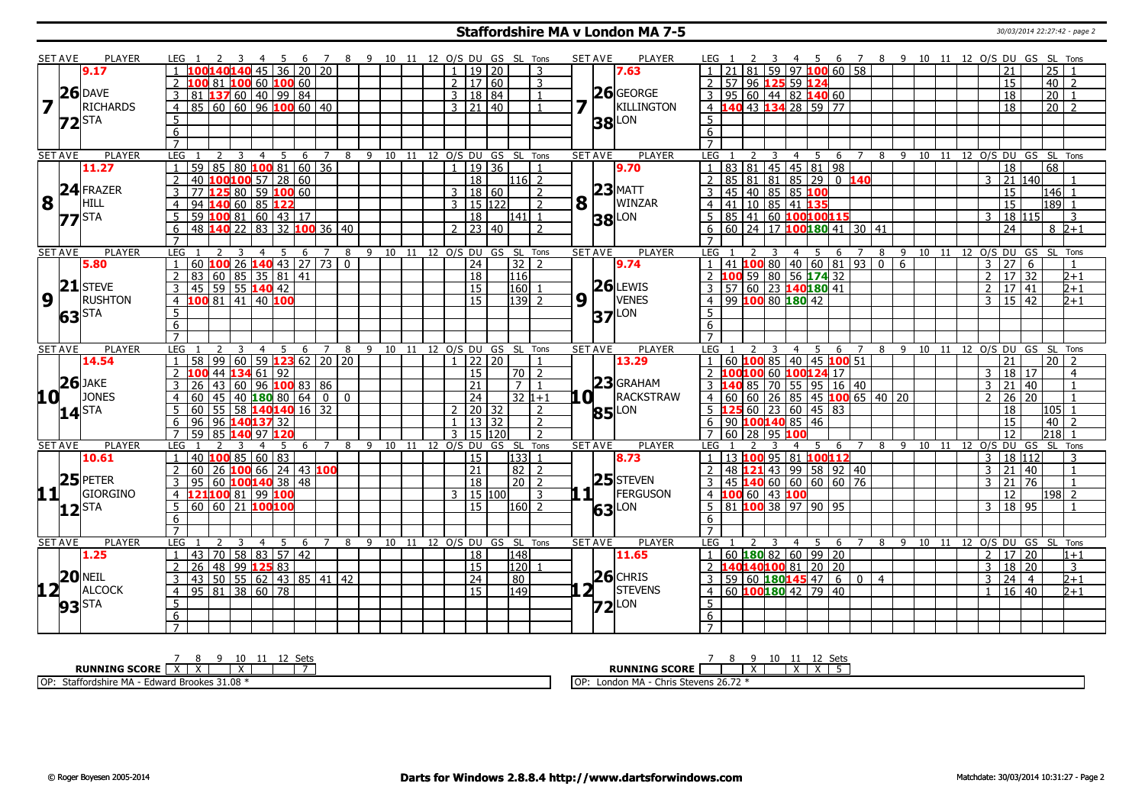#### **Staffordshire MA v London MA 7-5** 30/03/2014 22:27:42 - page 2

|                 | <b>SET AVE</b>    | <b>PLAYER</b>   | LEG                 |                                                    |                                     |                               |                | -5             | - 6 |     |                |          |              |    |                 |              |                 |                     | 7 8 9 10 11 12 O/S DU GS SL Tons |                |                | <b>SET AVE</b>        | <b>PLAYER</b>  | LEG 1                    |                                           |      |    |                |     |                 |                                     | 4 5 6 7 8 9 10 11 12 O/S DU GS SL Tons |              |                                |    |  |                |                            |                 |                 |                |  |
|-----------------|-------------------|-----------------|---------------------|----------------------------------------------------|-------------------------------------|-------------------------------|----------------|----------------|-----|-----|----------------|----------|--------------|----|-----------------|--------------|-----------------|---------------------|----------------------------------|----------------|----------------|-----------------------|----------------|--------------------------|-------------------------------------------|------|----|----------------|-----|-----------------|-------------------------------------|----------------------------------------|--------------|--------------------------------|----|--|----------------|----------------------------|-----------------|-----------------|----------------|--|
|                 |                   | 9.17            |                     |                                                    | LOO <mark>140140</mark> 45 36 20 20 |                               |                |                |     |     |                |          |              |    |                 |              |                 | $1 \mid 19 \mid 20$ |                                  | -3             |                |                       | 7.63           | $\vert$ 1                | 21 81 59 97 100 60 58                     |      |    |                |     |                 |                                     |                                        |              |                                |    |  |                | 21                         |                 | $\overline{25}$ |                |  |
|                 |                   |                 |                     | 100 81 <mark>100</mark> 60 <mark>100</mark> 60     |                                     |                               |                |                |     |     |                |          |              |    |                 |              |                 | 2   17   60         |                                  | 3              |                |                       |                | 2                        | 57 96 125 59 124                          |      |    |                |     |                 |                                     |                                        |              |                                |    |  |                | 15                         |                 | 40              | $\overline{z}$ |  |
|                 |                   | $26$ DAVE       |                     | $81 \, 137 \, 60 \, 40 \, 99 \, 84$                |                                     |                               |                |                |     |     |                |          |              |    |                 |              |                 | 3   18   84         |                                  | $\overline{1}$ |                |                       | $26$ GEORGE    |                          | 3   95   60   44   82   140   60          |      |    |                |     |                 |                                     |                                        |              |                                |    |  |                | 18                         |                 | $\overline{20}$ | $\overline{1}$ |  |
| 7               |                   | <b>RICHARDS</b> | 4                   | $85$ 60 60 96 100 60 40                            |                                     |                               |                |                |     |     |                |          |              |    |                 |              |                 | $3 \mid 21 \mid 40$ |                                  | $\mathbf{1}$   |                |                       | KILLINGTON     | 4                        | <b>40 43 134 28 59 77</b>                 |      |    |                |     |                 |                                     |                                        |              |                                |    |  |                | 18                         |                 | $\overline{20}$ | $\overline{z}$ |  |
|                 | $72$ STA          |                 | 5                   |                                                    |                                     |                               |                |                |     |     |                |          |              |    |                 |              |                 |                     |                                  |                |                |                       | LON            | 5                        |                                           |      |    |                |     |                 |                                     |                                        |              |                                |    |  |                |                            |                 |                 |                |  |
|                 |                   |                 | 6                   |                                                    |                                     |                               |                |                |     |     |                |          |              |    |                 |              |                 |                     |                                  |                |                | 38                    |                | 6                        |                                           |      |    |                |     |                 |                                     |                                        |              |                                |    |  |                |                            |                 |                 |                |  |
|                 |                   |                 | $\overline{7}$      |                                                    |                                     |                               |                |                |     |     |                |          |              |    |                 |              |                 |                     |                                  |                |                |                       |                |                          |                                           |      |    |                |     |                 |                                     |                                        |              |                                |    |  |                |                            |                 |                 |                |  |
|                 | <b>SET AVE</b>    | <b>PLAYER</b>   | LEG                 |                                                    |                                     | 3                             | $\overline{4}$ | 5              | 6   |     | 7              |          |              |    | 8 9 10 11       |              |                 |                     | 12 O/S DU GS SL Tons             |                |                | <b>SET AVE</b>        | <b>PLAYER</b>  | LEG                      |                                           |      | 3  | 4              | - 5 | -6              |                                     | 8                                      | -9           |                                |    |  |                | 10 11 12 0/S DU GS SL Tons |                 |                 |                |  |
|                 |                   | 11.27           |                     | $\overline{59}$                                    | 85                                  | $80 \; 100 \; 81 \; 60 \; 36$ |                |                |     |     |                |          |              |    |                 |              |                 | 19 36               |                                  |                |                |                       | 9.70           |                          | 83 81 45 45 81 98                         |      |    |                |     |                 |                                     |                                        |              |                                |    |  |                | 18                         |                 | 68              |                |  |
|                 |                   |                 | $\overline{2}$      | 40 $100100$ 57   28   60                           |                                     |                               |                |                |     |     |                |          |              |    |                 |              | $\overline{18}$ |                     | $116$ 2                          |                |                |                       |                | $\overline{2}$           | 85 81 81 85 29 0 140                      |      |    |                |     |                 |                                     |                                        |              |                                |    |  | 3              | 21 140                     |                 |                 |                |  |
|                 |                   | $24$ FRAZER     | 3                   | 77                                                 | 125 80 59 100 60                    |                               |                |                |     |     |                |          |              |    |                 |              |                 | 3   18   60         |                                  | $\mathcal{L}$  |                |                       | $23$ MATT      | 3                        | 45 40 85 85 100                           |      |    |                |     |                 |                                     |                                        |              |                                |    |  |                | 15                         |                 |                 | 146 1          |  |
| 8               |                   | HILL            |                     |                                                    |                                     |                               |                |                |     |     |                |          |              |    |                 |              |                 |                     |                                  |                |                |                       | WINZAR         |                          |                                           |      |    |                |     |                 |                                     |                                        |              |                                |    |  |                |                            |                 |                 |                |  |
|                 |                   |                 | $\overline{4}$      | 94 140 60 85 122                                   |                                     |                               |                |                |     |     |                |          |              |    |                 |              |                 | 3 15 122            |                                  | $\overline{2}$ |                | $8\vert$ <sup>T</sup> |                | $\overline{4}$           | 41 10 85 41 135                           |      |    |                |     |                 |                                     |                                        |              |                                |    |  |                | $\overline{15}$            |                 |                 | $189$ 1        |  |
|                 | $77$ STA          |                 | $5^{\circ}$         | 59 $\vert 100 \vert 81 \vert 60 \vert 43 \vert 17$ |                                     |                               |                |                |     |     |                |          |              |    |                 |              | 18              |                     | l141  1                          |                |                |                       | <b>38</b> LON  | .5.                      | 85 41 60 100100115                        |      |    |                |     |                 |                                     |                                        |              |                                |    |  | 3              | 18 115                     |                 |                 | -3             |  |
|                 |                   |                 | 6                   | 48 140 22 83 32 100 36 40                          |                                     |                               |                |                |     |     |                |          |              |    |                 |              |                 | $2 \mid 23 \mid 40$ |                                  | $\overline{2}$ |                |                       |                | 6                        | 60 24 17 100 180 41 30 41                 |      |    |                |     |                 |                                     |                                        |              |                                |    |  |                | 24                         |                 |                 | $8\,2+1$       |  |
|                 |                   |                 | $\overline{7}$      |                                                    |                                     |                               |                |                |     |     |                |          |              |    |                 |              |                 |                     |                                  |                |                |                       |                |                          |                                           |      |    |                |     |                 |                                     |                                        |              |                                |    |  |                |                            |                 |                 |                |  |
|                 | <b>SET AVE</b>    | <b>PLAYER</b>   | LEG <sub>1</sub>    |                                                    |                                     | 3                             | $\overline{4}$ | 5              |     | 6 7 |                |          |              |    |                 |              |                 |                     | 8 9 10 11 12 0/S DU GS SL Tons   |                |                | <b>SET AVE</b>        | <b>PLAYER</b>  | LEG 1                    |                                           |      | -3 |                |     | 4 5 6           | $\overline{7}$                      |                                        |              | 8 9 10 11 12 O/S DU GS SL Tons |    |  |                |                            |                 |                 |                |  |
|                 |                   | 5.80            |                     | 60 <b>100</b> 26 <b>140</b> 43   27   73   0       |                                     |                               |                |                |     |     |                |          |              |    |                 |              | $\overline{24}$ |                     | $32$   2                         |                |                |                       | 9.74           |                          | $41$ 100 80 40 60 81 93 0                 |      |    |                |     |                 |                                     |                                        | 6            |                                |    |  | 3              | $\overline{27}$            | 6               |                 |                |  |
|                 |                   |                 |                     | 83   60   85   35   81   41                        |                                     |                               |                |                |     |     |                |          |              |    |                 |              | 18              |                     | 116                              |                |                |                       |                |                          | 0 <sub>0</sub>                            |      |    |                |     | 59 80 56 174 32 |                                     |                                        |              |                                |    |  | $\overline{2}$ |                            | 17 32           |                 | $2 + 1$        |  |
|                 |                   | $21$ STEVE      | $\overline{3}$      | 45 59 55 140 42                                    |                                     |                               |                |                |     |     |                |          |              |    |                 |              | 15              |                     | 160                              |                |                |                       | $26$ LEWIS     | 3                        | 57 60 23 140 180 41                       |      |    |                |     |                 |                                     |                                        |              |                                |    |  | $\overline{2}$ | 17 41                      |                 |                 | $2 + 1$        |  |
| 9               |                   | <b>RUSHTON</b>  | $\overline{4}$      | 100 81 41 40 100                                   |                                     |                               |                |                |     |     |                |          |              |    |                 |              | 15              |                     | $139$ 2                          |                | 9 <sub>1</sub> |                       | <b>VENES</b>   | 4                        | 99 100 80 180 42                          |      |    |                |     |                 |                                     |                                        |              |                                |    |  | 3              | $15 \mid 42$               |                 |                 | 2+1            |  |
|                 | 63 <sup>STA</sup> |                 | 5 <sub>1</sub>      |                                                    |                                     |                               |                |                |     |     |                |          |              |    |                 |              |                 |                     |                                  |                |                |                       | $37$ LON       | 5 <sup>5</sup>           |                                           |      |    |                |     |                 |                                     |                                        |              |                                |    |  |                |                            |                 |                 |                |  |
|                 |                   |                 | $\overline{6}$      |                                                    |                                     |                               |                |                |     |     |                |          |              |    |                 |              |                 |                     |                                  |                |                |                       |                | 6                        |                                           |      |    |                |     |                 |                                     |                                        |              |                                |    |  |                |                            |                 |                 |                |  |
|                 |                   |                 | $\overline{7}$      |                                                    |                                     |                               |                |                |     |     |                |          |              |    |                 |              |                 |                     |                                  |                |                |                       |                | $\overline{7}$           |                                           |      |    |                |     |                 |                                     |                                        |              |                                |    |  |                |                            |                 |                 |                |  |
|                 | <b>SET AVE</b>    | <b>PLAYER</b>   | LEG                 |                                                    |                                     |                               | $\overline{4}$ | 5 <sup>5</sup> |     |     | 6 7 8          |          |              |    |                 |              |                 |                     | 9 10 11 12 O/S DU GS SL Tons     |                |                | <b>SET AVE</b>        | <b>PLAYER</b>  | LEG                      |                                           |      |    |                |     |                 | 4 5 6 7                             |                                        |              | 8 9 10 11 12 0/S DU GS SL Tons |    |  |                |                            |                 |                 |                |  |
|                 |                   |                 |                     |                                                    |                                     |                               |                |                |     |     |                |          |              |    |                 |              |                 |                     |                                  |                |                |                       |                |                          |                                           |      |    |                |     |                 |                                     |                                        |              |                                |    |  |                |                            |                 |                 | $20 \mid 2$    |  |
|                 |                   |                 | $\overline{1}$      |                                                    |                                     |                               |                |                |     |     |                |          |              |    |                 |              |                 |                     |                                  | $\mathbf{1}$   |                |                       |                | $\vert$ 1                |                                           |      |    |                |     |                 |                                     |                                        |              |                                |    |  |                |                            |                 |                 |                |  |
|                 |                   | 14.54           | $\overline{2}$      | 58 99 60 59 123 62 20 20                           |                                     |                               |                |                |     |     |                |          |              |    |                 |              | $1 \ 22 \ 20$   |                     |                                  |                |                |                       | 13.29          |                          |                                           |      |    |                |     |                 | 60 <b>100</b> 85 40 45 100 51       |                                        |              |                                |    |  |                | 21                         | 17              |                 |                |  |
|                 |                   |                 |                     |                                                    | 44 $\overline{134}$ 61   92         |                               |                |                |     |     |                |          |              |    |                 |              | 15              |                     | $70$   2                         | $\overline{1}$ |                |                       |                |                          | LOO100 60 100124 17                       |      |    |                |     |                 |                                     |                                        |              |                                |    |  | 3              | 18                         |                 |                 | $\overline{4}$ |  |
|                 | $26$ JAKE         |                 |                     | 26                                                 |                                     | 60 96 100 83 86               |                |                |     |     |                |          |              |    |                 |              | 21              |                     | 7 <sup>1</sup>                   |                |                |                       | $23$ GRAHAM    |                          |                                           | 85   |    |                |     |                 | 70 55 95 16 40                      |                                        |              |                                |    |  | 3              | 21                         | $ 40\rangle$    |                 |                |  |
| 10 <sup>1</sup> |                   | <b>JONES</b>    | $\overline{4}$      | 60                                                 | $45$   $40$   180   80   64         |                               |                |                |     |     | n I            | $\Omega$ |              |    |                 |              | $\overline{24}$ |                     |                                  | $32 1+1$       | LO I           |                       | RACKSTRAW      | 4   60                   |                                           | 60 l |    |                |     |                 | $26 \ 85 \ 45 \ 100 \ 65 \ 40 \ 20$ |                                        |              |                                |    |  | $\mathcal{L}$  | $\overline{26}$            | $\overline{20}$ |                 |                |  |
|                 | $14$ STA          |                 |                     | 60 <sup>1</sup>                                    | $55$ 58 140 140 16 32               |                               |                |                |     |     |                |          |              |    |                 | 2            |                 | 20 32               |                                  | $\overline{2}$ |                | 85                    | LON            |                          | $\overline{.25}$ 60   23   60   45   83   |      |    |                |     |                 |                                     |                                        |              |                                |    |  |                | 18                         |                 | 105             |                |  |
|                 |                   |                 | 6                   | 96 96 140 137 32                                   |                                     |                               |                |                |     |     |                |          |              |    |                 | $\mathbf{1}$ |                 | 13   32             |                                  | $\overline{2}$ |                |                       |                |                          | $6 \mid 90$ 100140 85 46                  |      |    |                |     |                 |                                     |                                        |              |                                |    |  |                | $\overline{15}$            |                 | 40              | $\overline{z}$ |  |
|                 |                   |                 | $\overline{7}$      | 59                                                 | 85 140 97 120                       |                               |                |                |     |     |                |          |              |    |                 | 3            | 15              | 120                 |                                  | $\overline{2}$ |                |                       |                | 7 60 28 95 100           |                                           |      |    |                |     |                 |                                     |                                        |              |                                |    |  |                | $\overline{12}$            |                 | 218             |                |  |
|                 | <b>SET AVE</b>    | <b>PLAYER</b>   | <b>LEG</b>          |                                                    |                                     |                               | $\overline{4}$ | -5             |     | 6   | $\overline{7}$ | 8        | $\mathsf{q}$ |    | 10 11 12 O/S DU |              |                 |                     | GS SL Tons                       |                |                | <b>SET AVE</b>        | <b>PLAYER</b>  | <b>LEG</b>               |                                           |      |    | 4              | 5.  | 6               | $\overline{7}$                      |                                        | 89           | 10 11 12 0/S DU GS SL Tons     |    |  |                |                            |                 |                 |                |  |
|                 |                   | 10.61           |                     | $-40$ 100 85 60 83                                 |                                     |                               |                |                |     |     |                |          |              |    |                 |              | 15              |                     | 133 1                            |                |                |                       | 8.73           | $\overline{1}$           | 13 <mark>100</mark> 95   81 <b>100112</b> |      |    |                |     |                 |                                     |                                        |              |                                |    |  | $\overline{3}$ | 18 112                     |                 |                 | 3              |  |
|                 |                   |                 | $\overline{z}$      | 60                                                 | 26 100 66 24 43 100                 |                               |                |                |     |     |                |          |              |    |                 |              | $\overline{21}$ |                     | $82$   2                         |                |                |                       |                | $\overline{\phantom{a}}$ | 48 121 43 99 58 92 40                     |      |    |                |     |                 |                                     |                                        |              |                                |    |  | 3              | 21                         | 40              |                 | $\overline{1}$ |  |
|                 |                   | $25$ PETER      | 3                   | 95                                                 | 60 100140 38 48                     |                               |                |                |     |     |                |          |              |    |                 |              | $\overline{18}$ |                     | $\sqrt{20}$ 2                    |                |                |                       | 25 STEVEN      | 3                        | 45 140 60 60 60 60 76                     |      |    |                |     |                 |                                     |                                        |              |                                |    |  | 3              | $\overline{21}$            | $\overline{76}$ |                 | $\overline{1}$ |  |
|                 |                   | GIORGINO        | $\overline{4}$      | 121 <mark>100</mark> 81   99 <mark>100</mark>      |                                     |                               |                |                |     |     |                |          |              |    |                 |              |                 | 3   15   100        |                                  | $\overline{3}$ |                | $\blacksquare$        | FERGUSON       |                          | 4 100 60 43 100                           |      |    |                |     |                 |                                     |                                        |              |                                |    |  |                | 12                         |                 |                 | 198 2          |  |
|                 |                   |                 | 5                   | 60   60   21   100   100                           |                                     |                               |                |                |     |     |                |          |              |    |                 |              | 15              |                     | l160l 2                          |                |                |                       | LON            | 5                        | $ 81$ 100 38 97 90 95                     |      |    |                |     |                 |                                     |                                        |              |                                |    |  | $\mathbf{3}$   | 18 95                      |                 |                 |                |  |
|                 | $12$ STA          |                 | 6                   |                                                    |                                     |                               |                |                |     |     |                |          |              |    |                 |              |                 |                     |                                  |                |                | 63                    |                | 6                        |                                           |      |    |                |     |                 |                                     |                                        |              |                                |    |  |                |                            |                 |                 |                |  |
| 11+             |                   |                 |                     |                                                    |                                     |                               |                |                |     |     |                |          |              |    |                 |              |                 |                     |                                  |                |                |                       |                |                          |                                           |      |    |                |     |                 |                                     |                                        |              |                                |    |  |                |                            |                 |                 |                |  |
|                 | <b>SET AVE</b>    | PLAYER          | <b>LEG</b>          |                                                    |                                     | 3                             | $\overline{4}$ | 5              | 6   |     | $7^{\circ}$    | 8        | $\mathsf{q}$ | 10 | 11              |              |                 |                     | 12 O/S DU GS SL Tons             |                |                | <b>SET AVE</b>        | <b>PLAYER</b>  | LEG                      |                                           |      |    | $\overline{4}$ | - 5 | -6              | $\overline{7}$                      | 8                                      | $\mathsf{q}$ | 10 <sup>1</sup>                | 11 |  |                | 12 O/S DU GS SL Tons       |                 |                 |                |  |
|                 |                   | 1.25            |                     | 43                                                 | 70 58 83 57 42                      |                               |                |                |     |     |                |          |              |    |                 |              | 18              |                     | 148                              |                |                |                       | 11.65          |                          | 60 $180$ 82 60 99 20                      |      |    |                |     |                 |                                     |                                        |              |                                |    |  | $\overline{2}$ | $\overline{17}$            | 20              |                 | $1 + 1$        |  |
|                 |                   |                 | 2                   | 26                                                 |                                     |                               |                |                |     |     |                |          |              |    |                 |              | $\overline{15}$ |                     | 120                              |                |                |                       |                |                          | 40140100 81 20 20                         |      |    |                |     |                 |                                     |                                        |              |                                |    |  | 3              |                            | 20              |                 | 3              |  |
|                 |                   |                 | 3                   |                                                    | 48 99 125 83                        |                               |                |                |     |     |                |          |              |    |                 |              |                 |                     |                                  |                |                |                       | $26$ CHRIS     | $\overline{3}$           |                                           |      |    |                |     |                 |                                     |                                        |              |                                |    |  | $\overline{3}$ | 18                         | $\vert$ 4       |                 |                |  |
|                 | <b>20 NEIL</b>    |                 |                     | 43   50   55   62   43   85   41   42              |                                     |                               |                |                |     |     |                |          |              |    |                 |              | $\sqrt{24}$     |                     | $ 80\rangle$                     |                |                |                       |                |                          | $59 60 $ 180145 47 6 0 4                  |      |    |                |     |                 |                                     |                                        |              |                                |    |  | $\mathbf{1}$   | 24                         |                 |                 | $2 + 1$        |  |
|                 |                   | <b>ALCOCK</b>   | $\overline{4}$      | $95 \mid 81 \mid 38 \mid 60 \mid 78$               |                                     |                               |                |                |     |     |                |          |              |    |                 |              | $\overline{15}$ |                     | 149                              |                |                |                       | <b>STEVENS</b> | $\overline{4}$           | 60 100180 42 79 40                        |      |    |                |     |                 |                                     |                                        |              |                                |    |  |                |                            | $16 \mid 40$    |                 | $2 + 1$        |  |
| 12 <sup>T</sup> | 93 <sup>STA</sup> |                 | 5                   |                                                    |                                     |                               |                |                |     |     |                |          |              |    |                 |              |                 |                     |                                  |                |                | 72                    | LON            | $5\overline{)}$          |                                           |      |    |                |     |                 |                                     |                                        |              |                                |    |  |                |                            |                 |                 |                |  |
|                 |                   |                 | 6<br>$\overline{7}$ |                                                    |                                     |                               |                |                |     |     |                |          |              |    |                 |              |                 |                     |                                  |                |                |                       |                | 6                        |                                           |      |    |                |     |                 |                                     |                                        |              |                                |    |  |                |                            |                 |                 |                |  |

| 10<br><sup>n</sup><br>. הם הי                       | 10                                                                                     |
|-----------------------------------------------------|----------------------------------------------------------------------------------------|
| <b>RUNNING SCORE</b>                                | <b>RUNNING SCORE</b><br>$\ddot{\phantom{1}}$<br>$\sqrt{ }$<br>$\overline{\phantom{a}}$ |
| Edward Brookes 31.08 *<br>OP:<br>Staffordshire MA - | 207<br>i OP.<br>∟ondon M^<br>MA - Chris Stevens 26.72                                  |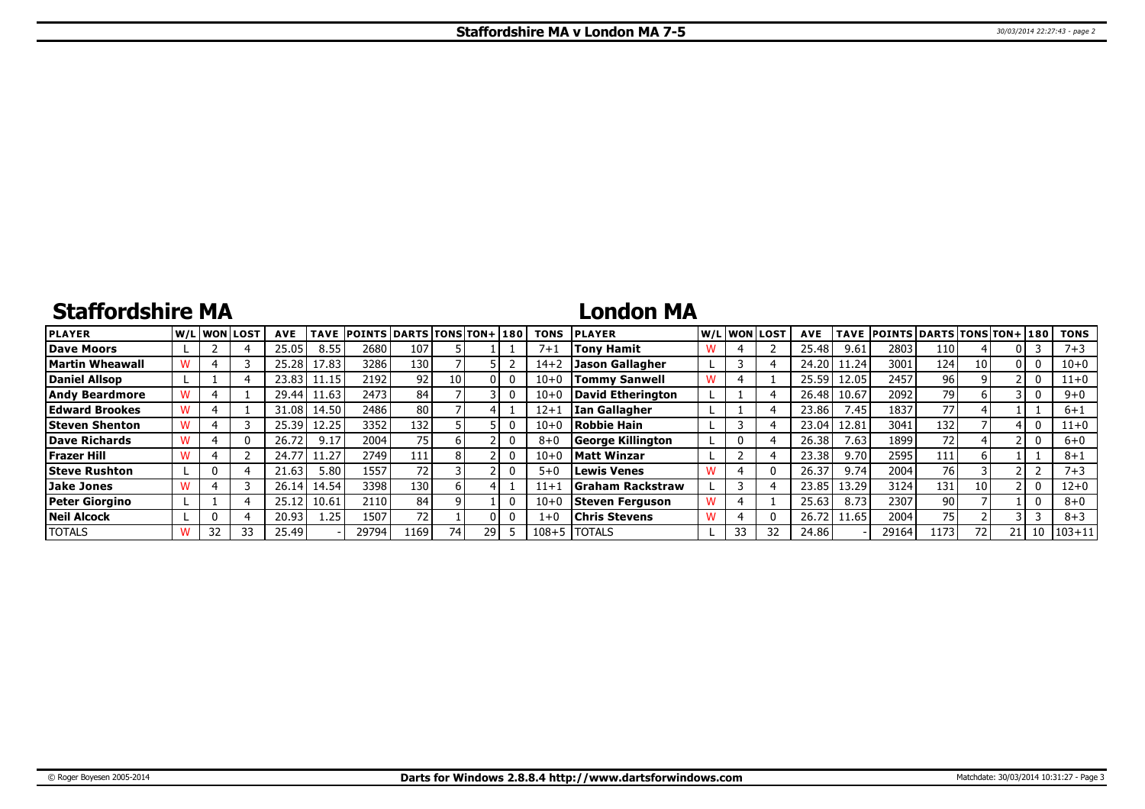# **Staffordshire MA**

### **London MA**

| <b>PLAYER</b>          |  | W/L WON LOST | <b>AVE</b> | <b>TAVE</b> | <b>POINTS DARTS TONS TON+ 180</b> |                 |      |    | <b>TONS</b> | <b>PLAYER</b>            | W/L WON LOST | <b>AVE</b> | <b>TAVE</b> | <b>POINTS DARTS TONS TON+ 180</b> |      |      |    | <b>TONS</b> |
|------------------------|--|--------------|------------|-------------|-----------------------------------|-----------------|------|----|-------------|--------------------------|--------------|------------|-------------|-----------------------------------|------|------|----|-------------|
| Dave Moors             |  |              | 25.05      | 8.55        | 2680                              | 107             |      |    | $7 + 1$     | <b>Tony Hamit</b>        |              | 25.48      | 9.61        | 2803                              | 110  |      |    | $7 + 3$     |
| <b>Martin Wheawall</b> |  |              | 25.28      | 17.83       | 3286                              | 130             |      |    | $14 + 2$    | Jason Gallagher          |              | 24.20      | 11.24       | 3001                              | 124  | 10 I |    | 10+0        |
| Daniel Allsop          |  |              | 23.83      | 11.15       | 2192                              | 92 <sub>1</sub> | 10 I |    | $10 + 0$    | <b>Tommy Sanwell</b>     |              | 25.59      | 12.05       | 2457                              | 96 i |      |    | $11+0$      |
| <b>Andy Beardmore</b>  |  |              | 29.44      | 11.63       | 2473                              | 84              |      |    | $10 + 0$    | David Etherington        |              | 26.48      | 10.67       | 2092                              | 79   |      |    | $9 + 0$     |
| <b>Edward Brookes</b>  |  |              | 31.08      | 14.50       | 2486                              | 80              |      |    | $12 + 1$    | lIan Gallagher           |              | 23.86      | 7.45        | 1837                              | 77   |      |    | $6 + 1$     |
| <b>Steven Shenton</b>  |  |              | 25.39      | 12.25       | 3352                              | 132             |      |    | $10 + 0$    | Robbie Hain              |              | 23.04      | 12.81       | 3041                              | 132  |      |    | $11+0$      |
| Dave Richards          |  |              | 26.72      | 9.17        | 2004                              | 75              |      |    | $8 + 0$     | George Killington        | 0            | 26.38      | 7.63        | 1899                              | 72   |      |    | $6+0$       |
| Frazer Hill            |  |              | 24.77      | 11.27       | 2749                              | 111             |      |    | $10 + 0$    | <b>Matt Winzar</b>       |              | 23.38      | 9.70        | 2595                              | 111  |      |    | $8 + 1$     |
| <b>Steve Rushton</b>   |  |              | 21.63      | 5.80        | 1557                              | 72              |      |    | $5 + 0$     | Lewis Venes              |              | 26.37      | 9.74        | 2004                              | 76   |      |    | $7 + 3$     |
| Jake Jones             |  |              | 26.14      | 14.54       | 3398                              | 130             |      |    | $11 + 1$    | <b>SGraham Rackstraw</b> |              | 23.85      | 13.29       | 3124                              | 131  | 10   |    | 12+0        |
| <b>Peter Giorgino</b>  |  |              | 25.12      | 10.61       | 2110                              | 84              |      |    | $10 + 0$    | Steven Ferguson          |              | 25.63      | 8.73        | 2307                              | 90 l |      |    | $8 + 0$     |
| <b>Neil Alcock</b>     |  |              | 20.93      | 1.25        | 1507                              | 72              |      |    | $1 + 0$     | <b>Chris Stevens</b>     |              | 26.72      | 11.65       | 2004                              | 75   |      |    | $8 + 3$     |
| <b>TOTALS</b>          |  | 33           | 25.49      |             | 29794                             | .169            | 741  | 29 | $108 + 5$   | <b>ITOTALS</b>           | 33           | 24.86      |             | 29164                             | 173  | 72   | 10 | $1103 + 11$ |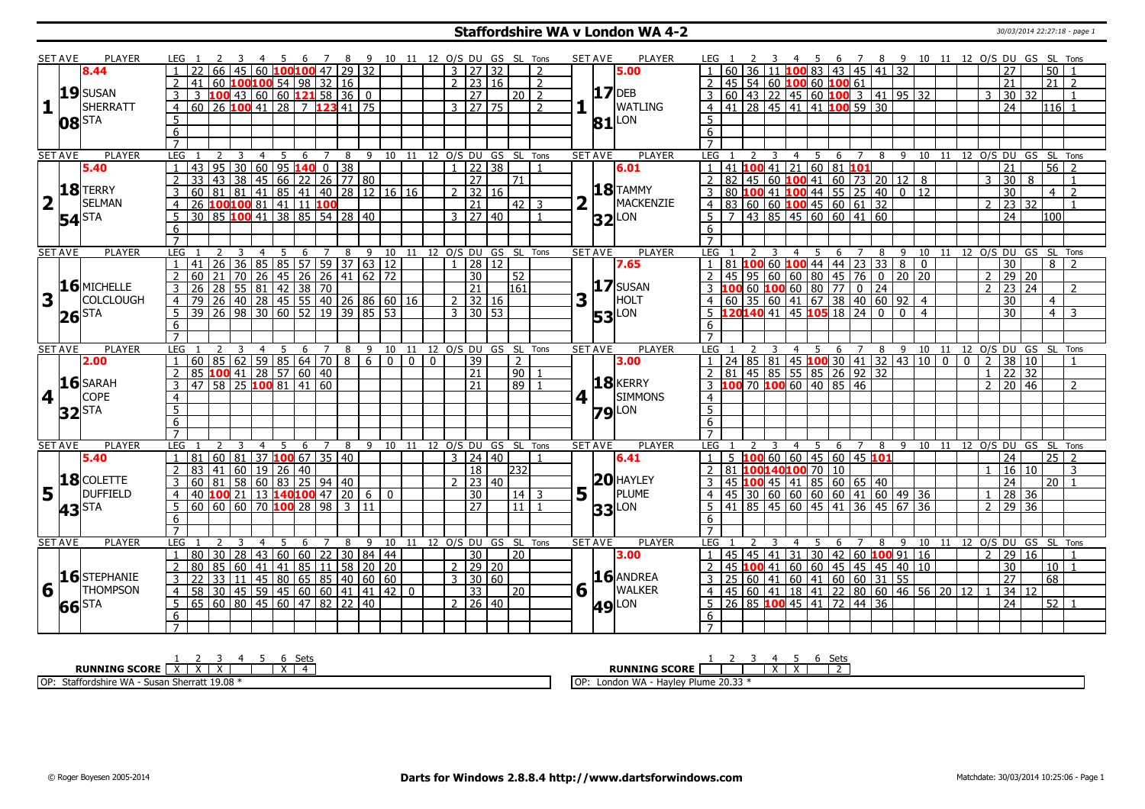### **Staffordshire WA v London WA 4-2** 30/03/2014 22:27:18 - page 1

|                         | <b>SET AVE</b>      | <b>PLAYER</b>    | LEG 1          |    |                                                    |                         |     |   |                           |   | 5 6 7 8 9 10 11 12 O/S DU GS SL Tons |                              |                |              |                         |                     |    |                                |                |   | <b>SET AVE</b><br><b>PLAYER</b> | LEG 1                                                                      |                 |     |   |                |                                                   |   |                |    | 3 4 5 6 7 8 9 10 11 12 O/S DU GS SL Tons |          |                                     |                          |                 |                                    |                                |                 |                |
|-------------------------|---------------------|------------------|----------------|----|----------------------------------------------------|-------------------------|-----|---|---------------------------|---|--------------------------------------|------------------------------|----------------|--------------|-------------------------|---------------------|----|--------------------------------|----------------|---|---------------------------------|----------------------------------------------------------------------------|-----------------|-----|---|----------------|---------------------------------------------------|---|----------------|----|------------------------------------------|----------|-------------------------------------|--------------------------|-----------------|------------------------------------|--------------------------------|-----------------|----------------|
|                         |                     | 8.44             |                |    |                                                    |                         |     |   | 60 <b>100100</b> 47 29 32 |   |                                      |                              |                |              | $3 \mid 27 \mid 32$     |                     |    |                                | $\overline{z}$ |   | 5.00                            |                                                                            |                 |     |   |                | $11$ 100 83 43 45 41                              |   |                |    | $\overline{32}$                          |          |                                     |                          |                 | 27                                 |                                | 50              |                |
|                         |                     |                  |                | 41 | 60 100 100 54 98 32 16                             |                         |     |   |                           |   |                                      |                              |                |              | $\overline{2}$          | 23   16             |    |                                | $\overline{2}$ |   |                                 |                                                                            | 45 <sub>1</sub> |     |   |                | 54 60 100 60 100 61                               |   |                |    |                                          |          |                                     |                          | 21              |                                    |                                | $\overline{21}$ |                |
|                         |                     | $19$ SUSAN       | 3              |    | 3  100  43  60  60  121  58  36                    |                         |     |   |                           |   | $\mathbf{0}$                         |                              |                |              |                         | 27                  |    | $20$   2                       |                |   | $17$ DEB                        |                                                                            |                 |     |   |                | $60$   43   22   45   60   100   3   41   95   32 |   |                |    |                                          |          |                                     | 3                        |                 | 30 32                              |                                |                 |                |
| 1                       |                     | SHERRATT         |                |    | 60 26 100 41 28 7 123 41 75                        |                         |     |   |                           |   |                                      |                              |                |              | 3   27   75             |                     |    |                                | $\overline{z}$ |   | <b>WATLING</b>                  |                                                                            |                 |     |   |                | 141 28 45 41 41 100 59 30                         |   |                |    |                                          |          |                                     |                          |                 | 24                                 |                                | 116 I           |                |
|                         |                     |                  | 4              |    |                                                    |                         |     |   |                           |   |                                      |                              |                |              |                         |                     |    |                                |                |   |                                 | 4                                                                          |                 |     |   |                |                                                   |   |                |    |                                          |          |                                     |                          |                 |                                    |                                |                 |                |
|                         |                     | <b>08</b> STA    | 5              |    |                                                    |                         |     |   |                           |   |                                      |                              |                |              |                         |                     |    |                                |                |   | $81$ <sup>LON</sup>             | 5                                                                          |                 |     |   |                |                                                   |   |                |    |                                          |          |                                     |                          |                 |                                    |                                |                 |                |
|                         |                     |                  | 6              |    |                                                    |                         |     |   |                           |   |                                      |                              |                |              |                         |                     |    |                                |                |   |                                 | 6                                                                          |                 |     |   |                |                                                   |   |                |    |                                          |          |                                     |                          |                 |                                    |                                |                 |                |
|                         |                     |                  | $\overline{7}$ |    |                                                    |                         |     |   |                           |   |                                      |                              |                |              |                         |                     |    |                                |                |   |                                 | $\overline{7}$                                                             |                 |     |   |                |                                                   |   |                |    |                                          |          |                                     |                          |                 |                                    |                                |                 |                |
|                         | <b>SET AVE</b>      | <b>PLAYER</b>    | LEG            |    | 2<br>3                                             | $\overline{4}$          | 5   | 6 | 7                         | 8 |                                      | 9 10 11 12 0/S DU GS SL Tons |                |              |                         |                     |    |                                |                |   | <b>PLAYER</b><br><b>SET AVE</b> | <b>LEG</b>                                                                 |                 |     | 3 | $\overline{4}$ | 5                                                 | 6 | $\overline{7}$ |    |                                          |          |                                     |                          |                 |                                    | 8 9 10 11 12 0/S DU GS SL Tons |                 |                |
|                         |                     | 5.40             |                | 43 | 95                                                 | $30 60 95$ 140 0 38     |     |   |                           |   |                                      |                              |                |              |                         | 22 38               |    |                                | -1             |   | 6.01                            | $\overline{1}$                                                             | 41 100          |     |   |                | $-41$ 21 60 81 101                                |   |                |    |                                          |          |                                     |                          | 21              |                                    |                                | $\overline{56}$ |                |
|                         |                     |                  | $\overline{2}$ | 33 | 43                                                 | 38 45 66 22 26 77 80    |     |   |                           |   |                                      |                              |                |              |                         | $\overline{27}$     |    | l 71 l                         |                |   |                                 | $\overline{2}$<br>$\overline{82}$                                          |                 |     |   |                | $\sqrt{45}$ 60 <b>100</b> 41 60 73 20 12 8        |   |                |    |                                          |          |                                     | 3                        |                 | 30                                 | 8                              |                 |                |
|                         |                     | 18 TERRY         | 3              | 60 | 81 81 41 85 41 40 28 12 16 16                      |                         |     |   |                           |   |                                      |                              |                |              | $\overline{2}$          | $\sqrt{32}$ 16      |    |                                |                |   | $18$ TAMMY                      | 80                                                                         |                 |     |   |                | $100$ 41 100 44 55 25 40 0 12                     |   |                |    |                                          |          |                                     |                          |                 | 30                                 |                                | $\overline{4}$  | $\overline{2}$ |
| $\overline{\mathbf{2}}$ |                     | <b>SELMAN</b>    |                |    | 26 100100 81 41 11 100                             |                         |     |   |                           |   |                                      |                              |                |              |                         | 21                  |    | $42 \mid 3$                    |                |   | MACKENZIE                       |                                                                            |                 |     |   |                | 83 60 60 <b>100</b> 45 60 61 32                   |   |                |    |                                          |          |                                     | $\overline{\phantom{0}}$ |                 | $\overline{23}$<br>32              |                                |                 |                |
|                         |                     |                  |                |    | 30 85 100 41 38 85 54 28 40                        |                         |     |   |                           |   |                                      |                              |                |              |                         | $3 \mid 27 \mid 40$ |    |                                |                |   |                                 | 5 <sup>5</sup>                                                             |                 |     |   |                | 43 85 45 60 60 41 60                              |   |                |    |                                          |          |                                     |                          |                 | 24                                 |                                | 100             |                |
|                         | $54$ <sup>STA</sup> |                  | 6              |    |                                                    |                         |     |   |                           |   |                                      |                              |                |              |                         |                     |    |                                |                |   | $32$ <sup>LON</sup>             | 6                                                                          |                 |     |   |                |                                                   |   |                |    |                                          |          |                                     |                          |                 |                                    |                                |                 |                |
|                         |                     |                  | $\overline{7}$ |    |                                                    |                         |     |   |                           |   |                                      |                              |                |              |                         |                     |    |                                |                |   |                                 |                                                                            |                 |     |   |                |                                                   |   |                |    |                                          |          |                                     |                          |                 |                                    |                                |                 |                |
|                         | <b>SET AVE</b>      | <b>PLAYER</b>    | LEG            |    | 3                                                  | $\overline{4}$          |     | 5 |                           |   | 6 7 8 9 10 11 12 O/S DU GS SL Tons   |                              |                |              |                         |                     |    |                                |                |   | <b>SET AVE</b><br><b>PLAYER</b> | LEG                                                                        |                 |     |   | $\overline{4}$ | - 5                                               |   | $\overline{7}$ | 8  | 9                                        | 10       |                                     |                          |                 |                                    | 11 12 0/S DU GS SL Tons        |                 |                |
|                         |                     |                  |                | 41 | $\overline{26}$                                    | 36 85 85 57 59 37 63 12 |     |   |                           |   |                                      |                              |                |              | $\mathbf{1}$            | $\overline{28}$     | 12 |                                |                |   | 7.65                            |                                                                            | 81 100          |     |   |                | 60 $\frac{100}{44}$ 44 $\frac{23}{33}$ 8          | 6 |                |    |                                          | $\Omega$ |                                     |                          |                 | $\overline{30}$                    |                                | 8               |                |
|                         |                     |                  |                |    |                                                    |                         |     |   |                           |   |                                      |                              |                |              |                         |                     |    |                                |                |   |                                 |                                                                            |                 |     |   |                |                                                   |   |                |    |                                          |          |                                     |                          |                 |                                    |                                |                 |                |
|                         |                     | $16$ MICHELLE    | $\overline{2}$ | 60 | 21 <sub>1</sub>                                    | 70 26 45 26 26 41 62 72 |     |   |                           |   |                                      |                              |                |              |                         | 30                  |    | 52                             |                |   |                                 | 2 45 95 60 60 80 45 76 0 20 20<br>3 <b>100</b> 60 <b>100</b> 60 80 77 0 24 |                 |     |   |                |                                                   |   |                |    |                                          |          |                                     | $\mathcal{L}$            |                 | 29 20                              |                                |                 |                |
|                         |                     |                  | $\overline{3}$ | 26 | 28 55 81 42 38 70<br>26 40 28 45 55 40 26 86 60 16 |                         |     |   |                           |   |                                      |                              |                |              |                         | $\sqrt{21}$         |    | 161                            |                |   | 17 SUSAN                        |                                                                            |                 |     |   |                |                                                   |   |                |    |                                          |          |                                     | $\overline{2}$           |                 | 23 24                              |                                |                 | $\overline{2}$ |
| $\overline{\mathbf{3}}$ |                     | <b>COLCLOUGH</b> | $\overline{4}$ | 79 |                                                    |                         |     |   |                           |   |                                      |                              |                |              | $2$ 32 16               |                     |    |                                |                | 3 | HOLT                            | 4                                                                          |                 |     |   |                | 0 35 60 41 67 38 40 60 92 4                       |   |                |    |                                          |          |                                     |                          |                 | 30                                 |                                | $\overline{4}$  |                |
|                         | $26$ STA            |                  | $\overline{5}$ |    | 39 26 98 30 60 52 19 39 85 53                      |                         |     |   |                           |   |                                      |                              |                |              | $3 \times 30 \times 53$ |                     |    |                                |                |   | <b>53</b> LON                   |                                                                            |                 |     |   |                |                                                   |   |                |    |                                          |          |                                     |                          |                 | $\overline{30}$                    |                                | $\overline{4}$  | 3              |
|                         |                     |                  | 6              |    |                                                    |                         |     |   |                           |   |                                      |                              |                |              |                         |                     |    |                                |                |   |                                 | 6                                                                          |                 |     |   |                |                                                   |   |                |    |                                          |          |                                     |                          |                 |                                    |                                |                 |                |
|                         |                     |                  | $\overline{7}$ |    |                                                    |                         |     |   |                           |   |                                      |                              |                |              |                         |                     |    |                                |                |   |                                 | $\overline{7}$                                                             |                 |     |   |                |                                                   |   |                |    |                                          |          |                                     |                          |                 |                                    |                                |                 |                |
|                         |                     |                  |                |    |                                                    | $\overline{4}$          | - 5 |   | 6 7                       |   |                                      |                              |                |              |                         |                     |    | 8 9 10 11 12 0/S DU GS SL Tons |                |   | <b>SET AVE</b><br><b>PLAYER</b> | LEG :                                                                      |                 |     |   | 4 5            |                                                   |   |                |    |                                          |          |                                     |                          |                 | 6 7 8 9 10 11 12 0/S DU GS SL Tons |                                |                 |                |
|                         | <b>SET AVE</b>      | <b>PLAYER</b>    | LEG            |    |                                                    |                         |     |   |                           |   |                                      |                              |                |              |                         |                     |    |                                |                |   |                                 |                                                                            |                 |     |   |                |                                                   |   |                |    |                                          |          |                                     |                          |                 |                                    |                                |                 |                |
|                         |                     | 2.00             |                |    | $-60$ 85 62 59 85 64 70 8 6                        |                         |     |   |                           |   |                                      | $\overline{0}$               | $\overline{0}$ | $\mathbf{0}$ |                         | 39                  |    | $\overline{2}$                 |                |   | 3.00                            |                                                                            |                 |     |   |                | 24 85 81 45 <b>100</b> 30 41 32 43 10 0           |   |                |    |                                          |          | $\overline{0}$                      | 2                        |                 | 38 10                              |                                |                 |                |
|                         |                     |                  |                |    |                                                    |                         |     |   |                           |   |                                      |                              |                |              |                         | 21                  |    |                                |                |   |                                 | 81                                                                         |                 |     |   |                | $145 \ 85 \ 55 \ 85 \ 26 \ 92 \ 32$               |   |                |    |                                          |          |                                     | $\mathbf{1}$             |                 | $\overline{22}$<br>32              |                                |                 |                |
|                         |                     | $16$ SARAH       | 3              | 47 | $85$ 100 41 28 57 60 40                            |                         |     |   |                           |   |                                      |                              |                |              |                         | $\sqrt{21}$         |    | 90                             |                |   | $18$ <b>KERRY</b>               |                                                                            |                 |     |   |                |                                                   |   |                |    |                                          |          |                                     | $\overline{2}$           |                 |                                    |                                |                 | $\overline{2}$ |
|                         |                     |                  |                |    | 58 25 100 81 41 60                                 |                         |     |   |                           |   |                                      |                              |                |              |                         |                     |    | $\sqrt{89}$                    |                |   |                                 |                                                                            |                 |     |   |                | 100 70 100 60 40 85 46                            |   |                |    |                                          |          |                                     |                          |                 | $\overline{20 46}$                 |                                |                 |                |
| 4                       |                     | <b>COPE</b>      | $\overline{4}$ |    |                                                    |                         |     |   |                           |   |                                      |                              |                |              |                         |                     |    |                                |                | 4 | <b>SIMMONS</b>                  | $\overline{4}$                                                             |                 |     |   |                |                                                   |   |                |    |                                          |          |                                     |                          |                 |                                    |                                |                 |                |
|                         | $32$ $STA$          |                  | $\overline{5}$ |    |                                                    |                         |     |   |                           |   |                                      |                              |                |              |                         |                     |    |                                |                |   | $79$ <sup>LON</sup>             | $\overline{5}$                                                             |                 |     |   |                |                                                   |   |                |    |                                          |          |                                     |                          |                 |                                    |                                |                 |                |
|                         |                     |                  | $\overline{6}$ |    |                                                    |                         |     |   |                           |   |                                      |                              |                |              |                         |                     |    |                                |                |   |                                 | 6                                                                          |                 |     |   |                |                                                   |   |                |    |                                          |          |                                     |                          |                 |                                    |                                |                 |                |
|                         |                     |                  | $\overline{7}$ |    |                                                    |                         |     |   |                           |   |                                      |                              |                |              |                         |                     |    |                                |                |   |                                 | $\overline{7}$                                                             |                 |     |   |                |                                                   |   |                |    |                                          |          |                                     |                          |                 |                                    |                                |                 |                |
|                         | <b>SET AVE</b>      | <b>PLAYER</b>    | LEG            |    |                                                    | $\overline{4}$          | 5   | 6 | 7                         | 8 | 9                                    | 10 11 12 O/S DU GS SL Tons   |                |              |                         |                     |    |                                |                |   | <b>PLAYER</b><br><b>SET AVE</b> | <b>LEG</b>                                                                 |                 |     |   | $\overline{4}$ | 5                                                 | 6 | 7              | 89 |                                          |          |                                     |                          |                 |                                    | 10 11 12 O/S DU GS SL Tons     |                 |                |
|                         |                     | 5.40             | $\mathbf{1}$   | 81 | $60$ 81 37 100 67 35 40                            |                         |     |   |                           |   |                                      |                              |                |              | $3 \mid 24 \mid 40$     |                     |    |                                | $\overline{1}$ |   | 6.41                            | $\mathbf{1}$                                                               |                 |     |   |                | $100$ 60 60 45 60 45 101                          |   |                |    |                                          |          |                                     |                          | $\overline{24}$ |                                    |                                | $25 \mid 2$     |                |
|                         |                     |                  | 2              | 83 | 41   60   19   26   40                             |                         |     |   |                           |   |                                      |                              |                |              |                         | $\overline{18}$     |    | 232                            |                |   |                                 | $\overline{2}$                                                             |                 |     |   |                | 81 100140100 70 10                                |   |                |    |                                          |          |                                     | $\overline{1}$           |                 | 16 10                              |                                |                 | 3              |
|                         |                     | $18$ COLETTE     | 3              | 60 | $81$ 58 60 83 25 94 40                             |                         |     |   |                           |   |                                      |                              |                |              | 2                       | 23 40               |    |                                |                |   | $20$ HAYLEY                     | 45                                                                         |                 | 100 |   |                | 45 41 85 60 65 40                                 |   |                |    |                                          |          |                                     |                          |                 | 24                                 |                                | 20 1            |                |
| 5                       |                     | <b>DUFFIELD</b>  | $\overline{4}$ | 40 | $\overline{100}$ 21 $\overline{1}$                 |                         |     |   | 13 140 100 47 20          |   | $\overline{6}$                       | $\mathbf 0$                  |                |              |                         | 30                  |    | $14$ 3                         |                | 5 | PLUME                           |                                                                            |                 |     |   |                | $30\,$ 60 60 60 60 41 60 49 36                    |   |                |    |                                          |          |                                     |                          |                 | 28 36                              |                                |                 |                |
|                         |                     |                  | 5              |    |                                                    |                         |     |   |                           |   |                                      |                              |                |              |                         | $\overline{27}$     |    | $\overline{11}$                | $\overline{1}$ |   |                                 | $5\overline{5}$                                                            |                 |     |   |                | 41 85 45 60 45 41 36 45 67 36                     |   |                |    |                                          |          |                                     | $2^{\circ}$              |                 | 29 36                              |                                |                 |                |
|                         | 43 <sup>STA</sup>   |                  | 6              |    |                                                    |                         |     |   |                           |   |                                      |                              |                |              |                         |                     |    |                                |                |   | <b>33</b> LON                   | 6                                                                          |                 |     |   |                |                                                   |   |                |    |                                          |          |                                     |                          |                 |                                    |                                |                 |                |
|                         |                     |                  | $\overline{7}$ |    |                                                    |                         |     |   |                           |   |                                      |                              |                |              |                         |                     |    |                                |                |   |                                 |                                                                            |                 |     |   |                |                                                   |   |                |    |                                          |          |                                     |                          |                 |                                    |                                |                 |                |
|                         | <b>SET AVE</b>      | <b>PLAYER</b>    | LEG            |    |                                                    |                         | 5   | 6 | $\overline{7}$            | 8 | 9                                    | 10                           | 11             |              | 12 O/S DU GS SL Tons    |                     |    |                                |                |   | <b>SET AVE</b><br><b>PLAYER</b> | LEG                                                                        |                 |     |   |                |                                                   | 6 |                | 8  |                                          | 9 10 11  |                                     |                          |                 |                                    | 12 O/S DU GS SL Tons           |                 |                |
|                         |                     |                  | $\overline{1}$ | 80 | 30 <sup>1</sup>                                    | 28 43 60 60 22 30 84 44 |     |   |                           |   |                                      |                              |                |              |                         | 30                  |    | 20                             |                |   | 3.00                            | $\vert$ 1                                                                  |                 |     |   |                | 45   45   41   31   30   42   60   100   91   16  |   |                |    |                                          |          |                                     | $\overline{2}$           |                 | 29 16                              |                                |                 |                |
|                         |                     |                  | 2              | 80 | 85 60 41 41 85 11                                  |                         |     |   |                           |   | 58 20 20                             |                              |                |              | 2 29 20                 |                     |    |                                |                |   |                                 | $\overline{2}$                                                             | 45 100          |     |   |                |                                                   |   |                |    |                                          |          |                                     |                          |                 | 30                                 |                                | 10              |                |
|                         |                     | $16$ STEPHANIE   | $\mathbf{3}$   | 22 |                                                    |                         |     |   |                           |   |                                      |                              |                |              |                         |                     |    |                                |                |   | 16 ANDREA                       | $\overline{3}$                                                             |                 |     |   |                | 41 60 60 45 45 45 40 10                           |   |                |    |                                          |          |                                     |                          |                 | $\overline{27}$                    |                                | 68              |                |
|                         |                     | <b>THOMPSON</b>  |                |    | 33   11   45   80   65   85   40   60   60         |                         |     |   |                           |   |                                      |                              |                |              | $3 \mid 30 \mid 60$     |                     |    |                                |                |   |                                 |                                                                            |                 |     |   |                | $25\,$ 60 41 60 41 60 60 31 55                    |   |                |    |                                          |          |                                     |                          |                 |                                    |                                |                 |                |
| 6                       |                     |                  | $\overline{4}$ | 58 | $30  45   59   45   60   60   41   41   42   0$    |                         |     |   |                           |   |                                      |                              |                |              |                         | 33                  |    | 20                             |                | 6 | <b>WALKER</b>                   | $\overline{4}$                                                             |                 |     |   |                |                                                   |   |                |    |                                          |          | 45 60 41 18 41 22 80 60 46 56 20 12 |                          |                 | 34 12                              |                                |                 |                |
|                         | 66 STA              |                  | 5              |    | 65 60 80 45 60 47 82 22 40                         |                         |     |   |                           |   |                                      |                              |                |              | 2 26 40                 |                     |    |                                |                |   | LON<br>49                       | 5                                                                          |                 |     |   |                | 26 85 100 45 41 72 44 36                          |   |                |    |                                          |          |                                     |                          | 24              |                                    |                                | $52$   1        |                |
|                         |                     |                  | 6              |    |                                                    |                         |     |   |                           |   |                                      |                              |                |              |                         |                     |    |                                |                |   |                                 | 6                                                                          |                 |     |   |                |                                                   |   |                |    |                                          |          |                                     |                          |                 |                                    |                                |                 |                |

| Sets<br>ັບເພ                                             | Set                                                                                             |
|----------------------------------------------------------|-------------------------------------------------------------------------------------------------|
| <b>SCORE</b><br><b>RUNNING</b><br>. .                    | INNING SCORE<br><b>RU</b><br>$\ddot{\phantom{1}}$<br>$\ddot{\phantom{1}}$<br>SLUKI<br>$\lambda$ |
| Sherratt 19.08<br>OP:<br>susa<br>rorasnire<br><b>VVF</b> | ר החר<br>$\sim$<br><b>1818</b><br>$\cdots$<br>London WA<br><b>Havle</b><br>20.33<br>v<br>тине   |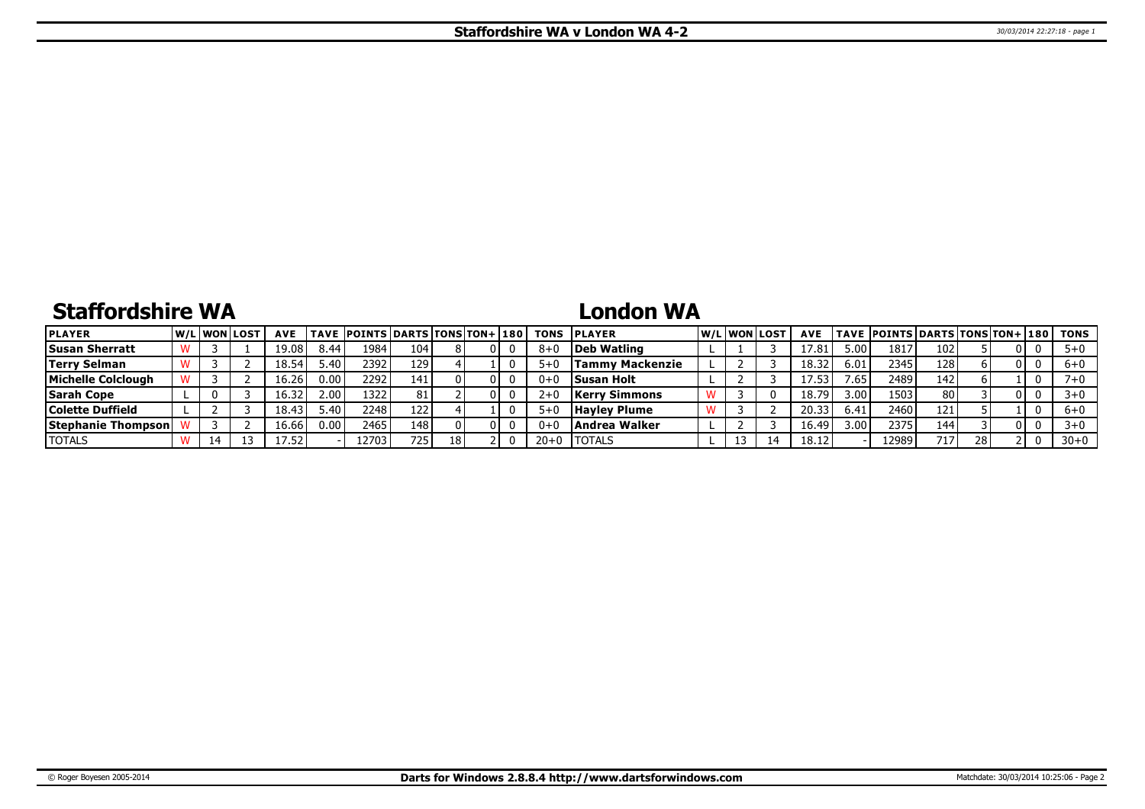# **Staffordshire WA**

# **London WA**

| <b>PLAYER</b>              |  | <b>W/Liwonilost</b> | <b>AVE</b> |                  | TAVE  POINTS DARTS TONS TON+ 180 |      |    |  |         | <b>TONS IPLAYER</b>  |  | W/Liwonilost | <b>AVE</b> |                   | <b>TAVE POINTS DARTS TONS TON+ 180</b> |                 |    |     | TONS     |
|----------------------------|--|---------------------|------------|------------------|----------------------------------|------|----|--|---------|----------------------|--|--------------|------------|-------------------|----------------------------------------|-----------------|----|-----|----------|
| <b>Susan Sherratt</b>      |  |                     | 19.08      | 8.44             | 1984                             | 104  |    |  | $8 + ($ | Deb Watling          |  |              | 17.81      | ' 00.د            | 1817                                   | 102             |    |     | $5+0$    |
| <b>Terry Selman</b>        |  |                     | 18.54      | 5.4 <sub>C</sub> | 2392                             | 129  |    |  | $5 + C$ | Tammv Mackenzie      |  |              | 18.32      | 6.01              | 2345                                   | 128             |    | -0  | $6 + 0$  |
| <b>Michelle Colclough</b>  |  |                     | 16.Z6      | 0.00             | 22921                            | 141  |    |  | $0+0$   | <b>Susan Holt</b>    |  |              | 17.53      | .65               | 2489                                   | 142             |    |     | 7+0      |
| <b>Sarah Cope</b>          |  |                     | 16.32      | 2.00             | 1322                             | 81   |    |  | $2+0$   | <b>Kerry Simmons</b> |  |              | 18.79      | 3.00 <sub>1</sub> | 1503                                   | 80 <sub>1</sub> |    |     | $3+0$    |
| Colette Duffield           |  |                     | 18.43      | 5.4 <sup>c</sup> | 2248                             | 122  |    |  |         | <b>Hayley Plume</b>  |  |              | 20.33      | 6.41              | 2460                                   | 121             |    |     | $6 + 0$  |
| <b>Stephanie Thompsonl</b> |  |                     | 16.66      | 0.00             | 2465                             | 148  |    |  | $0+$    | Andrea Walker        |  |              | 16.49      | 3.00              | 2375                                   | 144             |    |     | $3 + 0$  |
| <b>TOTALS</b>              |  |                     | 17.52      |                  | $12703$ <sup>1</sup>             | 725. | 18 |  | $20+0$  | <b>ITOTALS</b>       |  |              | 18.12      |                   | 12989 <sup>-</sup>                     | 717             | 28 | - 0 | $30 + 0$ |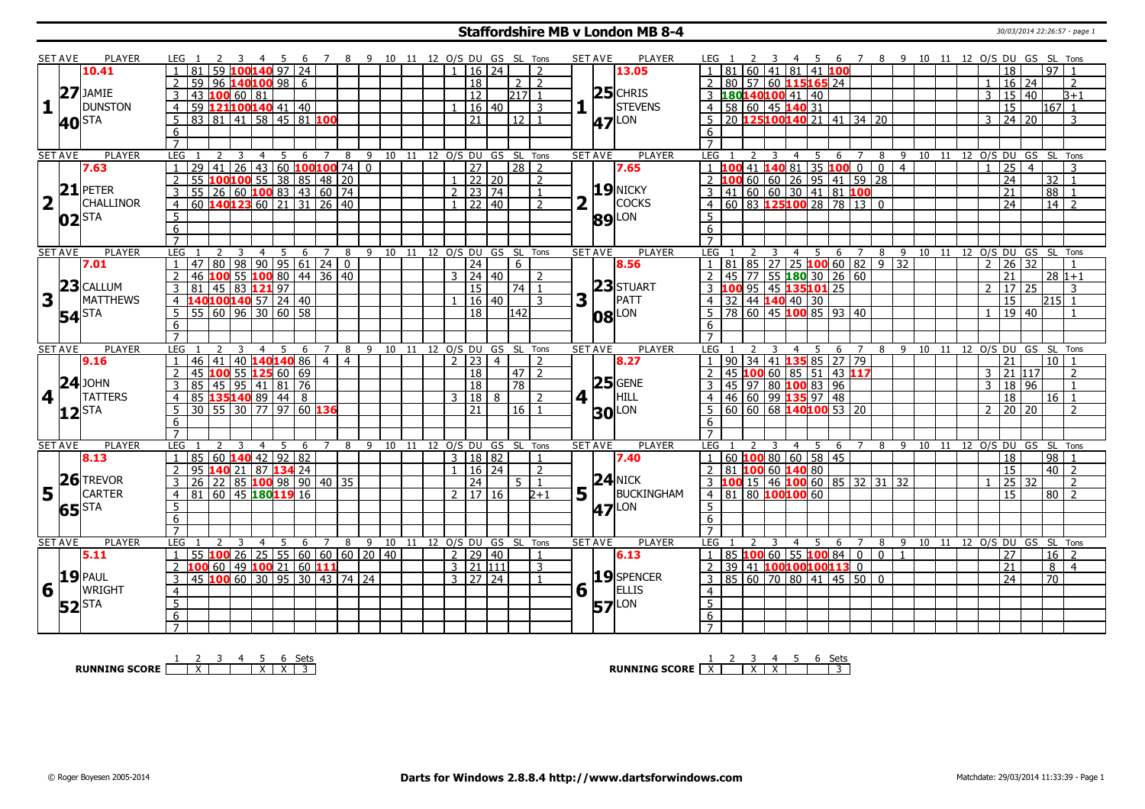### **Staffordshire MB v London MB 8-4** 30/03/2014 22:26:57 - page 1

|                         | SET AVE        | <b>PLAYER</b>                     | LEG 1                                      |                                                                                                  | 45             |                     | 6 7 8 9 10 11 12 O/S DU GS SL Tons |                              |                       |                      |                |                                   |                         | <b>SET AVE</b><br>PLAYER               | 6 7 8 9 10 11 12 O/S DU GS SL Tons<br>LEG 1<br>- 45                                                                                                                |
|-------------------------|----------------|-----------------------------------|--------------------------------------------|--------------------------------------------------------------------------------------------------|----------------|---------------------|------------------------------------|------------------------------|-----------------------|----------------------|----------------|-----------------------------------|-------------------------|----------------------------------------|--------------------------------------------------------------------------------------------------------------------------------------------------------------------|
|                         |                | 10.41                             | 59<br>81                                   |                                                                                                  | LOO140 97 24   |                     |                                    |                              |                       |                      | 16   24        | $\overline{2}$                    |                         | 13.05                                  | $ 81 $ 60 41 81 41 100<br>97<br>18                                                                                                                                 |
|                         |                |                                   | 59<br>$\overline{96}$                      |                                                                                                  | 140100 98 6    |                     |                                    |                              |                       | 18                   |                | 2<br>$\overline{2}$               |                         |                                        | 80 57 60 115 165 24<br>16<br>24<br>2                                                                                                                               |
|                         |                | $27$ JAMIE                        | 3<br>43                                    | 10066081                                                                                         |                |                     |                                    |                              |                       | $\overline{12}$      |                | $217$ 1                           |                         | $25$ CHRIS                             | 3 180140100 41 40<br>$15 \mid 40$<br>3<br>$B+1$                                                                                                                    |
| $\mathbf{1}$            |                | <b>DUNSTON</b>                    |                                            |                                                                                                  |                |                     |                                    |                              |                       |                      | 16 40          | $\overline{3}$                    |                         | <b>STEVENS</b>                         | 4 58 60 45 140 31<br>$\overline{15}$<br>$167$ 1                                                                                                                    |
|                         |                |                                   | $\overline{4}$                             | 59 121100140 41 40                                                                               |                |                     |                                    |                              |                       |                      |                |                                   |                         |                                        |                                                                                                                                                                    |
|                         |                | <b>40</b> STA                     | 81<br>$5^{\circ}$<br>83                    | 41 58 45 81 100                                                                                  |                |                     |                                    |                              |                       | 21                   |                | $\overline{12}$<br>$\overline{1}$ |                         | $47$ <sup>LON</sup>                    | $\overline{5}$ 20 <b>125100140</b> 21 41 34 20<br>$24 \mid 20$<br>3<br>3                                                                                           |
|                         |                |                                   | 6                                          |                                                                                                  |                |                     |                                    |                              |                       |                      |                |                                   |                         |                                        | 6                                                                                                                                                                  |
|                         |                |                                   | $\overline{7}$                             |                                                                                                  |                |                     |                                    |                              |                       |                      |                |                                   |                         |                                        | $\overline{7}$                                                                                                                                                     |
|                         | <b>SET AVE</b> | <b>PLAYER</b>                     | <b>LEG</b><br>$\overline{2}$               | $\overline{3}$<br>$\overline{4}$                                                                 | $\overline{5}$ | $6 \quad 7 \quad 8$ |                                    | 9 10 11 12 O/S DU GS SL Tons |                       |                      |                |                                   |                         | <b>PLAYER</b><br><b>SET AVE</b>        | 5 6 7 8 9 10 11 12 O/S DU GS SL Tons<br>LEG<br>2<br>$\overline{3}$<br>$\overline{4}$                                                                               |
|                         |                | 7.63                              | $\overline{29}$<br>1                       | 41 26 43 60 <b>100 100</b> 74 0<br><b>100 100</b> 55 38 85 48 20<br>26 60 <b>100</b> 83 43 60 74 |                |                     |                                    |                              |                       | $\overline{27}$      |                | $\sqrt{28}$ 2                     |                         | 7.65                                   | 1  100 41  140 81  35  100 0 0 4<br>$\overline{25}$<br>$\overline{4}$<br>3<br>$\overline{1}$                                                                       |
|                         |                |                                   | $\overline{2}$<br>$\overline{55}$          |                                                                                                  |                |                     |                                    |                              |                       | $1$ 22 20            |                | $\overline{2}$                    |                         |                                        | $\overline{24}$<br>$\overline{32}$ 1                                                                                                                               |
|                         |                | $21$ PETER                        | $\overline{\mathbf{3}}$<br>$\overline{55}$ |                                                                                                  |                |                     |                                    |                              |                       | $2 \mid 23 \mid 74$  |                | $\mathbf{1}$                      |                         | $19$ NICKY                             | 2 100 60 60 26 95 41 59 28<br>3 41 60 60 30 41 81 100<br>4 60 83 125 100 28 78 13 0<br>$\overline{21}$<br>$\overline{88}$                                          |
| $\overline{\mathbf{2}}$ |                | <b>CHALLINOR</b>                  | $\overline{4}$                             | 60 140123 60 21 31 26 40                                                                         |                |                     |                                    |                              |                       | $1$   22   40        |                | $\overline{2}$                    | $\overline{\mathbf{2}}$ | COCKS                                  | $\overline{24}$<br>14                                                                                                                                              |
|                         |                | $02$ $\overline{\phantom{a}}$ STA | $\overline{5}$                             |                                                                                                  |                |                     |                                    |                              |                       |                      |                |                                   |                         | <b>89</b> LON                          | 5                                                                                                                                                                  |
|                         |                |                                   | 6                                          |                                                                                                  |                |                     |                                    |                              |                       |                      |                |                                   |                         |                                        | 6                                                                                                                                                                  |
|                         |                |                                   | $\overline{7}$                             |                                                                                                  |                |                     |                                    |                              |                       |                      |                |                                   |                         |                                        | $\overline{7}$                                                                                                                                                     |
|                         | <b>SET AVE</b> | <b>PLAYER</b>                     | LEG                                        | 3<br>$\overline{4}$                                                                              | 5<br>6         | $\overline{7}$      | 8                                  | 9                            | 10 11 12 0/S DU GS SL |                      |                | Tons                              |                         | <b>SET AVE</b><br><b>PLAYER</b>        | 9 10 11 12 0/S DU GS<br>LEG<br>$\overline{4}$<br>5<br>6<br>$\overline{7}$<br>8<br>SL Tons                                                                          |
|                         |                | 7.01                              |                                            |                                                                                                  |                |                     |                                    |                              |                       | 24                   |                | 6                                 |                         | 8.56                                   | $1 \mid 81 \mid 85 \mid 27 \mid 25$ <b>100</b> 60 82 9 32<br>26<br>32<br>$\overline{2}$                                                                            |
|                         |                |                                   | $\overline{2}$                             | 47 80 98 90 95 61 24 0<br>46 <b>100</b> 55 <b>100</b> 80 44 36 40                                |                |                     |                                    |                              |                       | $3 \mid 24 \mid 40$  |                | $\overline{z}$                    |                         |                                        | 2 45 77 55 180 30 26 60<br>$\overline{21}$<br>$28 1+1$                                                                                                             |
|                         |                | $23$ CALLUM                       | 81                                         | 45 83 121 97                                                                                     |                |                     |                                    |                              |                       | 15                   |                | 74   1                            |                         | 23 STUART                              | $\overline{17}$<br>25<br>$\mathcal{L}$<br>3                                                                                                                        |
| $\overline{\mathbf{3}}$ |                | <b>MATTHEWS</b>                   | 3                                          |                                                                                                  |                |                     |                                    |                              |                       |                      |                |                                   |                         | PATT                                   | $\begin{array}{r l}\n\hline\n3 & 10095 & 45 & 135 & 101 & 25 \\ \hline\n4 & 32 & 44 & 140 & 40 & 30 \\ \hline\n5 & 78 & 60 & 45 & 100 & 85 & 93 & 40\n\end{array}$ |
|                         |                |                                   | $\overline{4}$                             | 140100140 57 24 40                                                                               |                |                     |                                    |                              |                       |                      | 16 40          | 3                                 | 3                       |                                        | 15<br>l215  1                                                                                                                                                      |
|                         |                | <b>54</b> STA                     | 5                                          | 55   60   96   30   60   58                                                                      |                |                     |                                    |                              |                       | 18                   |                | 142                               |                         | $ 08 $ LON                             | 19 40<br>$\overline{1}$                                                                                                                                            |
|                         |                |                                   | 6                                          |                                                                                                  |                |                     |                                    |                              |                       |                      |                |                                   |                         |                                        | 6                                                                                                                                                                  |
|                         |                |                                   | $\overline{7}$                             |                                                                                                  |                |                     |                                    |                              |                       |                      |                |                                   |                         |                                        |                                                                                                                                                                    |
|                         |                |                                   |                                            |                                                                                                  |                | $\overline{7}$      |                                    |                              |                       |                      |                |                                   |                         | <b>PLAYER</b><br><b>SET AVE</b>        | LEG<br>10 11 12 O/S DU GS SL Tons<br>6<br>89                                                                                                                       |
|                         | <b>SET AVE</b> | PLAYER                            | LEG                                        | $\overline{4}$                                                                                   | -5<br>-6       |                     | 8                                  | 9 10 11 12 O/S DU GS SL Tons |                       |                      |                |                                   |                         |                                        | 4 <sub>5</sub><br>$\overline{z}$                                                                                                                                   |
|                         |                | 9.16                              | 46<br>41                                   | 40 140 140 86                                                                                    |                | $\overline{4}$      | $\overline{4}$                     |                              |                       | 2 23                 | $\overline{4}$ | $\overline{2}$                    |                         | 8.27                                   | $\boxed{90}$ 34 41 <b>135</b> 85 27 79<br>$10$   1<br>21                                                                                                           |
|                         |                |                                   | $\overline{2}$<br>45                       | 100 55 125 60 69                                                                                 |                |                     |                                    |                              |                       | 18                   |                | $\left  47 \right $ 2             |                         |                                        | $145$ 100 60 85 51 43 117<br> 21 117 <br>3<br>$\mathcal{L}$                                                                                                        |
|                         |                | $24$ JOHN                         | 3                                          |                                                                                                  |                |                     |                                    |                              |                       | 18                   |                | $\sqrt{78}$                       |                         | $25$ GENE                              | 18   96<br>3<br>$\overline{1}$                                                                                                                                     |
| $\vert$ 4               |                | <b>TATTERS</b>                    | $\overline{4}$                             |                                                                                                  |                |                     |                                    |                              |                       | 3 18                 | $\mathbf{R}$   | $\overline{2}$                    |                         | HILL<br>$4$   $\overline{\phantom{0}}$ | 18<br>$16$   1                                                                                                                                                     |
|                         |                |                                   | 5                                          |                                                                                                  |                |                     |                                    |                              |                       | 21                   |                | $16$   1                          |                         |                                        | 20 20<br>$\mathcal{P}$<br>$\mathcal{L}$                                                                                                                            |
|                         |                | $12$ STA                          | 6                                          | 35 45 95 41 81 76<br>85 <b>45 95 41 81 76</b><br>85 <b>135 140</b> 89 44 8                       |                |                     |                                    |                              |                       |                      |                |                                   |                         | <b>30 LON</b>                          | -6                                                                                                                                                                 |
|                         |                |                                   | $\overline{7}$                             |                                                                                                  |                |                     |                                    |                              |                       |                      |                |                                   |                         |                                        | $\overline{7}$                                                                                                                                                     |
|                         | <b>SET AVE</b> | PLAYER                            | <b>LEG</b>                                 | 3<br>$\overline{4}$                                                                              | - 5<br>-6      | $\overline{7}$      |                                    | 9 10 11 12 O/S DU GS SL Tons |                       |                      |                |                                   |                         | PLAYER<br><b>SET AVE</b>               | LEG<br>7 8 9 10 11 12 O/S DU GS SL Tons<br>$\overline{4}$<br>$-5$<br>- 6                                                                                           |
|                         |                | 8.13                              | $\overline{1}$                             | 85 60 140 42 92 82                                                                               |                |                     | $\overline{8}$                     |                              |                       | 3   18   82          |                | $\overline{1}$                    |                         | 7.40                                   | 1   60   100   80   60   58   45<br>98<br>$\overline{18}$                                                                                                          |
|                         |                |                                   | 2<br>95                                    | $ 21\rangle$                                                                                     | 87 134 24      |                     |                                    |                              |                       | $1 \mid 16 \mid 24$  |                | $\overline{2}$                    |                         |                                        | $\overline{15}$<br>$40$   2<br>$2$ 81 100 60 140 80                                                                                                                |
|                         |                |                                   | $\overline{26}$                            |                                                                                                  |                |                     |                                    |                              |                       |                      |                | 5 <sup>1</sup><br>$\mathbf{1}$    |                         | $24$ NICK                              | 2                                                                                                                                                                  |
|                         |                | 26 TREVOR                         | $\overline{3}$                             | 22   85   <mark>100</mark>   98   90   40   35                                                   |                |                     |                                    |                              |                       | $\overline{24}$      |                |                                   |                         |                                        | 3 <b>100</b> 15 46 <b>100</b> 60 85 32 31 32<br>25 32                                                                                                              |
|                         | $5\vert$       | <b>CARTER</b>                     | $\overline{4}$<br>81                       | 60 45 180 19 16                                                                                  |                |                     |                                    |                              |                       | $2 \mid 17 \mid 16$  |                | $2 + 1$                           |                         | $5\vert \bar{1}$<br>BUCKINGHAM         | 4   81   80   100   100<br>15<br>$\overline{80}$<br>$\overline{2}$                                                                                                 |
|                         |                | 65 <sup>STA</sup>                 | 5                                          |                                                                                                  |                |                     |                                    |                              |                       |                      |                |                                   |                         | <b>47</b> <sup>LON</sup>               | $\overline{5}$                                                                                                                                                     |
|                         |                |                                   | $\overline{6}$                             |                                                                                                  |                |                     |                                    |                              |                       |                      |                |                                   |                         |                                        | 6                                                                                                                                                                  |
|                         |                |                                   | $\overline{7}$                             |                                                                                                  |                |                     |                                    |                              |                       |                      |                |                                   |                         |                                        | $\overline{7}$                                                                                                                                                     |
|                         | <b>SET AVE</b> | <b>PLAYER</b>                     | LEG                                        | 3<br>$\overline{4}$                                                                              | -5             | 6<br>$\overline{7}$ | 8                                  | 9                            |                       |                      |                | 10 11 12 0/S DU GS SL Tons        |                         | <b>SET AVE</b><br><b>PLAYER</b>        | 9 10 11 12 0/S DU GS SL Tons<br>LEG<br>8<br>$\overline{4}$<br>-5<br>6<br>$\overline{7}$                                                                            |
|                         |                | 5.11                              | $\mathbf{1}$                               | 55 100 26 25 55 60 60 60 20 40                                                                   |                |                     |                                    |                              |                       | 2   29   40          |                | $\overline{1}$                    |                         | 6.13                                   | 1 85 100 60 55 100 84 0<br>$0 \mid 1$<br>$16 \mid 2$<br>27                                                                                                         |
|                         |                |                                   | 100<br>2                                   | $60$ 49 100 21 60 111                                                                            |                |                     |                                    |                              |                       | $\frac{1}{3}$ 21 111 |                | 3                                 |                         |                                        | 2 39 41 100 100 100 113 0<br>$\overline{21}$<br>8<br>$\overline{4}$                                                                                                |
|                         |                | <b>19 PAUL</b>                    | 3                                          | 45 100 60 30 95 30 43 74 24                                                                      |                |                     |                                    |                              |                       | $3 \mid 27 \mid 24$  |                | $\overline{1}$                    |                         | 19 SPENCER                             | $3   85   60   70   80   41   45   50   0$<br>$\overline{70}$<br>$\overline{24}$                                                                                   |
| 6                       |                | <b>WRIGHT</b>                     | $\overline{4}$                             |                                                                                                  |                |                     |                                    |                              |                       |                      |                |                                   |                         | $6\sqrt{ }$<br><b>ELLIS</b>            | $\overline{4}$                                                                                                                                                     |
|                         |                |                                   | $\overline{5}$                             |                                                                                                  |                |                     |                                    |                              |                       |                      |                |                                   |                         |                                        | $\overline{5}$                                                                                                                                                     |
|                         |                | $52$ STA                          | 6<br>$\overline{7}$                        |                                                                                                  |                |                     |                                    |                              |                       |                      |                |                                   |                         | <b>57</b> LON                          | 6<br>$\overline{7}$                                                                                                                                                |

**RUNNING SCORE**  $\begin{array}{|c|c|c|c|c|}\n\hline\n & 2 & 3 & 4 & 5 & 6 & \text{Sets} \\
\hline\n\end{array}$ 

**RUNNING SCORE**  $\begin{array}{|c|c|c|c|c|}\n\hline\n\textbf{1} & \textbf{2} & \textbf{3} & \textbf{4} & \textbf{5} & \textbf{6} & \textbf{Sets} \\
\hline\n\textbf{5} & \textbf{5} & \textbf{6} & \textbf{7} & \textbf{8} & \textbf{1} & \textbf{1} \\
\hline\n\textbf{6} & \textbf{7} & \textbf{8} & \textbf{1} & \textbf{1} & \textbf{1} & \textbf{1} & \textbf{1} \\
\hline\n\textbf{7} & \textbf{8} & \textbf$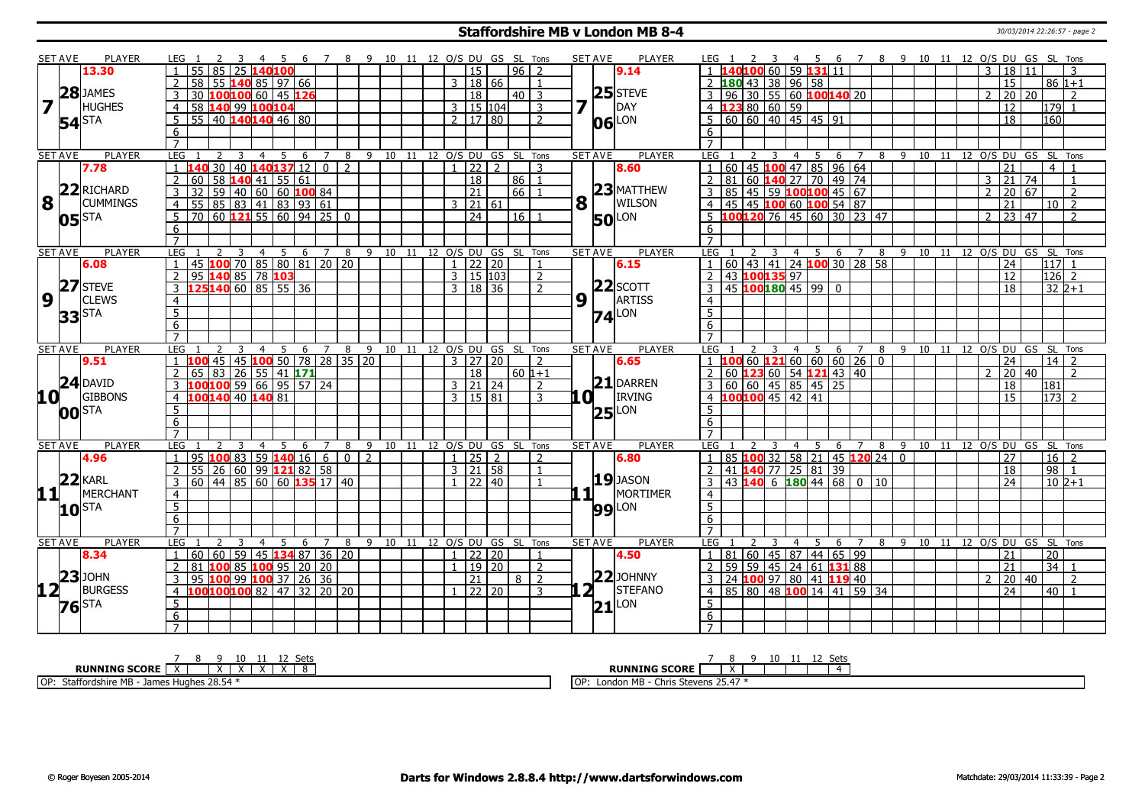#### **Staffordshire MB v London MB 8-4** 30/03/2014 22:26:57 - page 2

|                 | <b>SET AVE</b>                    | PLAYER           | LEG 1               |                                         |      |                                  |    | - 6                                           | 7 8 9 10 11 12 O/S DU GS SL Tons |                |                                    |    |    |                              |                     |     |                 |                          |   | <b>SET AVE</b><br><b>PLAYER</b> | LEG 1               |    |               |                                        | 4 5                              |                                          |                                                   | 6 7 8 9 10 11 12 O/S DU GS SL Tons |     |    |    |                |                                          |                     |                |
|-----------------|-----------------------------------|------------------|---------------------|-----------------------------------------|------|----------------------------------|----|-----------------------------------------------|----------------------------------|----------------|------------------------------------|----|----|------------------------------|---------------------|-----|-----------------|--------------------------|---|---------------------------------|---------------------|----|---------------|----------------------------------------|----------------------------------|------------------------------------------|---------------------------------------------------|------------------------------------|-----|----|----|----------------|------------------------------------------|---------------------|----------------|
|                 |                                   | 13.30            | $\overline{1}$      | 55 l                                    | 85 I | 25 140100                        |    |                                               |                                  |                |                                    |    |    |                              | <sup>15</sup>       |     | $96$   2        |                          |   | 9.14                            |                     |    |               |                                        |                                  | 1 140100 60 59 131 11                    |                                                   |                                    |     |    |    |                | 3   18   11                              |                     | 3              |
|                 |                                   |                  | $\overline{2}$      | 58                                      |      |                                  |    | 55 $140$ 85   97   66                         |                                  |                |                                    |    |    | 3                            | 18 66               |     |                 |                          |   |                                 |                     |    |               |                                        | 2 180 43 38 96 58                |                                          |                                                   |                                    |     |    |    |                | 15                                       | $86 1+1$            |                |
|                 |                                   | 28 JAMES         |                     | 30 100 100 60 45 126                    |      |                                  |    |                                               |                                  |                |                                    |    |    |                              | 18                  |     | $40$   3        |                          |   | $25$ STEVE                      |                     |    |               |                                        |                                  | 3   96   30   55   60   100140   20      |                                                   |                                    |     |    |    | $\overline{2}$ | 20 20                                    |                     | $\mathcal{L}$  |
| 7               |                                   | <b>HUGHES</b>    | $\overline{4}$      | 58 140 99 100 104                       |      |                                  |    |                                               |                                  |                |                                    |    |    |                              | 3   15   104        |     |                 | 3                        |   | DAY                             |                     |    |               | $4 \overline{123} 80 \overline{60} 59$ |                                  |                                          |                                                   |                                    |     |    |    |                | 12                                       | l179l 1             |                |
|                 |                                   |                  |                     | $55$   40 <b>140 140</b> 46 80          |      |                                  |    |                                               |                                  |                |                                    |    |    | 2   17   80                  |                     |     |                 | $\overline{\phantom{a}}$ |   | LON                             |                     |    |               |                                        | 5   60   60   40   45   45   91  |                                          |                                                   |                                    |     |    |    |                | 18                                       | 160                 |                |
|                 | <b>54</b> STA                     |                  | 6                   |                                         |      |                                  |    |                                               |                                  |                |                                    |    |    |                              |                     |     |                 |                          |   | 06                              | 6                   |    |               |                                        |                                  |                                          |                                                   |                                    |     |    |    |                |                                          |                     |                |
|                 |                                   |                  | $\overline{7}$      |                                         |      |                                  |    |                                               |                                  |                |                                    |    |    |                              |                     |     |                 |                          |   |                                 | $\overline{7}$      |    |               |                                        |                                  |                                          |                                                   |                                    |     |    |    |                |                                          |                     |                |
|                 | <b>SET AVE</b>                    | <b>PLAYER</b>    | LEG                 |                                         |      | $\overline{4}$                   | -5 | -6                                            | 7                                | 8              |                                    |    |    | 9 10 11 12 O/S DU GS SL Tons |                     |     |                 |                          |   | <b>PLAYER</b><br><b>SET AVE</b> | LEG                 |    | $\mathcal{L}$ | $\overline{4}$                         | 5                                | 6                                        |                                                   |                                    |     |    |    |                | 8 9 10 11 12 0/S DU GS SL Tons           |                     |                |
|                 |                                   | 7.78             |                     |                                         | 30   |                                  |    | $40$ 140 137 12 0 2                           |                                  |                |                                    |    |    | $1$   22   2                 |                     |     |                 | $\mathcal{R}$            |   | 8.60                            | $\mathbf{1}$        |    |               |                                        |                                  | 60 45 100 47 85 96 64                    |                                                   |                                    |     |    |    |                | $\overline{21}$                          | 4   1               |                |
|                 |                                   |                  | 2                   | 60                                      |      |                                  |    | $\overline{58}$ 140 41 55 61                  |                                  |                |                                    |    |    |                              | $\overline{18}$     |     | l 86 l          | $\overline{1}$           |   |                                 | $\overline{2}$      | 81 |               |                                        |                                  | 60 140 27 70 49 74                       |                                                   |                                    |     |    |    |                | $3 \mid 21 \mid 74$                      |                     | $\overline{1}$ |
|                 |                                   | 22 RICHARD       |                     | $\overline{32}$                         |      |                                  |    |                                               |                                  |                |                                    |    |    |                              | $\sqrt{21}$         |     | 66              |                          |   | $23$ MATTHEW                    |                     |    |               |                                        |                                  |                                          |                                                   |                                    |     |    |    | $\overline{2}$ | 20 67                                    |                     |                |
| 8               |                                   | <b>CUMMINGS</b>  | $\overline{3}$      |                                         |      |                                  |    | 59   40   60   60   100   84                  |                                  |                |                                    |    |    |                              |                     |     |                 |                          |   |                                 |                     |    |               |                                        |                                  | $3   85   45   59   100   100   45   67$ |                                                   |                                    |     |    |    |                |                                          |                     | $\overline{z}$ |
|                 |                                   |                  | $\overline{4}$      | $\overline{55}$ 85 83 41 83 93 61       |      |                                  |    |                                               |                                  |                |                                    |    |    |                              | $3 \mid 21 \mid 61$ |     |                 |                          | 8 | <b>WILSON</b>                   |                     |    |               |                                        |                                  | 4 45 45 100 60 100 54 87                 |                                                   |                                    |     |    |    |                | $\overline{21}$                          | $10$ $\overline{2}$ |                |
|                 | $05$ $\overline{\phantom{a}}$ STA |                  | 5                   | <b>70</b>                               |      |                                  |    | 60   <mark>1 2 1</mark> 55   60   94   25   0 |                                  |                |                                    |    |    |                              | $\overline{24}$     |     | 16 <sup>1</sup> |                          |   | <b>50</b> LON                   |                     |    |               |                                        |                                  |                                          | 5 100120 76 45 60 30 23 47                        |                                    |     |    |    | $\overline{2}$ | 23 47                                    |                     | $\overline{2}$ |
|                 |                                   |                  | 6                   |                                         |      |                                  |    |                                               |                                  |                |                                    |    |    |                              |                     |     |                 |                          |   |                                 | 6                   |    |               |                                        |                                  |                                          |                                                   |                                    |     |    |    |                |                                          |                     |                |
|                 |                                   |                  | $\overline{7}$      |                                         |      |                                  |    |                                               |                                  |                |                                    |    |    |                              |                     |     |                 |                          |   |                                 |                     |    |               |                                        |                                  |                                          |                                                   |                                    |     |    |    |                |                                          |                     |                |
|                 | <b>SET AVE</b>                    | <b>PLAYER</b>    | LEG                 |                                         |      | $\overline{3}$<br>$\overline{4}$ |    | 5 6 7 8                                       |                                  |                | 9 10 11 12 0/S DU GS SL Tons       |    |    |                              |                     |     |                 |                          |   | <b>SET AVE</b><br><b>PLAYER</b> | LEG                 |    |               |                                        |                                  |                                          |                                                   |                                    |     |    |    |                | 3 4 5 6 7 8 9 10 11 12 O/S DU GS SL Tons |                     |                |
|                 |                                   | 6.08             |                     | 45 100 70 85 80 81 20 20                |      |                                  |    |                                               |                                  |                |                                    |    |    | $\cdot$ 1 $\cdot$            | 22 20               |     |                 |                          |   | 6.15                            | $\overline{1}$      |    |               |                                        |                                  |                                          | 60   43   41   24   100   30   28   58            |                                    |     |    |    |                | 24                                       | $117$ 1             |                |
|                 |                                   |                  | <sup>2</sup>        | 95 140 85 78 103                        |      |                                  |    |                                               |                                  |                |                                    |    |    | 3   15   103                 |                     |     |                 | 2                        |   |                                 | $\overline{2}$      |    |               | 43 100135 97                           |                                  |                                          |                                                   |                                    |     |    |    |                | 12                                       | $126$ 2             |                |
|                 |                                   | 27 STEVE         | $\mathcal{E}$       | 125140 60 85 55 36                      |      |                                  |    |                                               |                                  |                |                                    |    |    | $3 \mid 18 \mid 36$          |                     |     |                 | $\overline{2}$           |   | $22$ SCOTT                      |                     |    |               |                                        | 3   45   100   180   45   99   0 |                                          |                                                   |                                    |     |    |    |                | $\overline{18}$                          | $322 + 1$           |                |
| 9               |                                   | <b>CLEWS</b>     | $\overline{4}$      |                                         |      |                                  |    |                                               |                                  |                |                                    |    |    |                              |                     |     |                 |                          | 9 | ARTISS                          | $\overline{4}$      |    |               |                                        |                                  |                                          |                                                   |                                    |     |    |    |                |                                          |                     |                |
|                 |                                   |                  | $\overline{5}$      |                                         |      |                                  |    |                                               |                                  |                |                                    |    |    |                              |                     |     |                 |                          |   | $74$ <sup>LON</sup>             | $\overline{5}$      |    |               |                                        |                                  |                                          |                                                   |                                    |     |    |    |                |                                          |                     |                |
|                 | <b>33</b> STA                     |                  | $\overline{6}$      |                                         |      |                                  |    |                                               |                                  |                |                                    |    |    |                              |                     |     |                 |                          |   |                                 | 6                   |    |               |                                        |                                  |                                          |                                                   |                                    |     |    |    |                |                                          |                     |                |
|                 |                                   |                  | $\overline{7}$      |                                         |      |                                  |    |                                               |                                  |                |                                    |    |    |                              |                     |     |                 |                          |   |                                 | $\overline{7}$      |    |               |                                        |                                  |                                          |                                                   |                                    |     |    |    |                |                                          |                     |                |
|                 |                                   |                  |                     |                                         |      | $\overline{4}$                   | 5  |                                               |                                  |                | 6 7 8 9 10 11 12 0/S DU GS SL Tons |    |    |                              |                     |     |                 |                          |   | <b>SET AVE</b><br><b>PLAYER</b> | <b>LEG</b>          |    |               | $\overline{4}$                         | - 5                              | 6                                        | $\overline{7}$                                    |                                    |     |    |    |                | 8 9 10 11 12 0/S DU GS SL Tons           |                     |                |
|                 |                                   |                  |                     |                                         |      |                                  |    |                                               |                                  |                |                                    |    |    |                              |                     |     |                 |                          |   |                                 |                     |    |               |                                        |                                  |                                          |                                                   |                                    |     |    |    |                |                                          |                     |                |
|                 | <b>SET AVE</b>                    | <b>PLAYER</b>    | <b>LEG</b>          |                                         |      |                                  |    |                                               |                                  |                |                                    |    |    |                              |                     |     |                 |                          |   |                                 |                     |    |               |                                        |                                  |                                          |                                                   |                                    |     |    |    |                |                                          |                     |                |
|                 |                                   | 9.51             | $\overline{1}$      |                                         | 45   |                                  |    | 45 100 50 78 28 35 20                         |                                  |                |                                    |    |    | $3 \mid 27 \mid 20$          |                     |     |                 | $\overline{2}$           |   | 6.65                            |                     |    |               |                                        |                                  |                                          | $1 \t100660121606060260$                          |                                    |     |    |    |                | 24                                       | $14$ 2              |                |
|                 |                                   |                  |                     | 65                                      | 83   |                                  |    | $26$ 55 41 171                                |                                  |                |                                    |    |    |                              | 18                  |     | $60 1+1$        |                          |   |                                 |                     |    |               |                                        |                                  | 60 123 60 54 121 43 40                   |                                                   |                                    |     |    |    |                | 20 40                                    |                     | $\overline{2}$ |
|                 |                                   | $24$ DAVID       |                     |                                         |      |                                  |    | <mark>100</mark> 100 59 66 95 57 24           |                                  |                |                                    |    |    |                              | 3   21   24         |     |                 | $\overline{\phantom{a}}$ |   | $21$ DARREN                     |                     |    |               |                                        |                                  | 3   60   60   45   85   45   25          |                                                   |                                    |     |    |    |                | 18                                       | 181                 |                |
|                 |                                   | <b>GIBBONS</b>   | $\overline{4}$      | 100 140 40 140 81                       |      |                                  |    |                                               |                                  |                |                                    |    |    | 3   15   81                  |                     |     |                 | 3                        |   | <b>IRVING</b><br>.O I           |                     |    |               |                                        | 4 100100 45 42 41                |                                          |                                                   |                                    |     |    |    |                | 15                                       | $ 173 $ 2           |                |
| 10 <sup>1</sup> |                                   |                  | $5\overline{)}$     |                                         |      |                                  |    |                                               |                                  |                |                                    |    |    |                              |                     |     |                 |                          |   |                                 | 5 <sup>1</sup>      |    |               |                                        |                                  |                                          |                                                   |                                    |     |    |    |                |                                          |                     |                |
|                 | <b>00</b> STA                     |                  | 6                   |                                         |      |                                  |    |                                               |                                  |                |                                    |    |    |                              |                     |     |                 |                          |   | $25$ <sup>LON</sup>             | 6                   |    |               |                                        |                                  |                                          |                                                   |                                    |     |    |    |                |                                          |                     |                |
|                 |                                   |                  | $\overline{7}$      |                                         |      |                                  |    |                                               |                                  |                |                                    |    |    |                              |                     |     |                 |                          |   |                                 | $\overline{7}$      |    |               |                                        |                                  |                                          |                                                   |                                    |     |    |    |                |                                          |                     |                |
|                 | <b>SET AVE</b>                    | <b>PLAYER</b>    | <b>LEG</b>          |                                         |      | $\overline{4}$                   | 5  | 6                                             | $\overline{7}$                   | 8              | 9                                  |    |    | 10 11 12 0/S DU GS SL Tons   |                     |     |                 |                          |   | <b>PLAYER</b><br><b>SET AVE</b> | <b>LEG</b>          |    |               | $\overline{4}$                         | -5                               | 6                                        | $\overline{7}$                                    | 8                                  | - 9 |    |    |                | 10 11 12 0/S DU GS SL Tons               |                     |                |
|                 |                                   | 4.96             | -1                  | 95 $\sqrt{100}$ 83 59 $\sqrt{140}$ 16 6 |      |                                  |    |                                               |                                  | $\overline{0}$ | 2                                  |    |    | $1 \mid 25$                  |                     | l 2 |                 | 2                        |   | 6.80                            |                     |    |               |                                        |                                  |                                          | $1   85   100   32   58   21   45   120   24   0$ |                                    |     |    |    |                | 27                                       | $16 \mid 2$         |                |
|                 |                                   |                  | $\overline{2}$      | 55                                      |      |                                  |    | $26 60 99$ 12182 58                           |                                  |                |                                    |    |    | $3 \mid 21 \mid 58$          |                     |     |                 | $\mathbf{1}$             |   |                                 |                     |    |               |                                        |                                  | 2 41 140 77 25 81 39                     |                                                   |                                    |     |    |    |                | 18                                       | $98$   1            |                |
|                 |                                   | $22$ <b>KARL</b> | 3                   | 60                                      |      |                                  |    | 44   85   60   60   135 17   40               |                                  |                |                                    |    |    | $1 \mid 22 \mid 40$          |                     |     |                 |                          |   | $19$ JASON                      |                     |    |               |                                        |                                  |                                          | $3   43   140   6   180   44   68   0   10$       |                                    |     |    |    |                | 24                                       | $102+1$             |                |
|                 |                                   | MERCHANT         | $\overline{4}$      |                                         |      |                                  |    |                                               |                                  |                |                                    |    |    |                              |                     |     |                 |                          |   | MORTIMER<br>-11 L               | $\overline{4}$      |    |               |                                        |                                  |                                          |                                                   |                                    |     |    |    |                |                                          |                     |                |
|                 |                                   |                  |                     |                                         |      |                                  |    |                                               |                                  |                |                                    |    |    |                              |                     |     |                 |                          |   |                                 | $\overline{5}$      |    |               |                                        |                                  |                                          |                                                   |                                    |     |    |    |                |                                          |                     |                |
|                 | $10^{57A}$                        |                  | $\overline{5}$      |                                         |      |                                  |    |                                               |                                  |                |                                    |    |    |                              |                     |     |                 |                          |   | <b>99</b> LON                   |                     |    |               |                                        |                                  |                                          |                                                   |                                    |     |    |    |                |                                          |                     |                |
|                 |                                   |                  | 6<br>$\overline{7}$ |                                         |      |                                  |    |                                               |                                  |                |                                    |    |    |                              |                     |     |                 |                          |   |                                 | 6                   |    |               |                                        |                                  |                                          |                                                   |                                    |     |    |    |                |                                          |                     |                |
|                 | <b>SET AVE</b>                    | <b>PLAYER</b>    | LEG                 |                                         |      |                                  | 5  | 6                                             | $\overline{7}$                   | 8              | 9                                  | 10 | 11 | 12 O/S DU GS SL Tons         |                     |     |                 |                          |   | <b>SET AVE</b><br><b>PLAYER</b> | LEG                 |    |               | $\overline{4}$                         | -5                               | 6                                        | $\overline{7}$                                    | 8                                  | -9  | 10 | 11 |                | 12 O/S DU GS SL Tons                     |                     |                |
|                 |                                   | 8.34             |                     | 60                                      | 60   |                                  |    |                                               |                                  |                |                                    |    |    | $\mathbf{1}$                 | 22   20             |     |                 |                          |   | 4.50                            | $\overline{1}$      | 81 |               |                                        |                                  |                                          |                                                   |                                    |     |    |    |                | 21                                       |                     |                |
|                 |                                   |                  | $\cdot$ 1           |                                         | 100  |                                  |    | $59$   45 <b>134</b> 87   36   20             |                                  |                |                                    |    |    | $\mathbf{1}$                 |                     |     |                 | $\overline{2}$           |   |                                 |                     |    |               |                                        |                                  | 60 45 87 44 65 99                        |                                                   |                                    |     |    |    |                |                                          | 20                  |                |
|                 |                                   |                  | 2                   | 81                                      |      |                                  |    | 85 100 95 20 20                               |                                  |                |                                    |    |    |                              | 19   20             |     |                 |                          |   |                                 | 2                   |    |               |                                        |                                  | $59$ 59 45 24 61 131 88                  |                                                   |                                    |     |    |    |                | 21                                       | 34 1                |                |
|                 |                                   | $ 23 $ JOHN      | 3                   | 95 <b>100</b> 99 <b>100</b> 37 26 36    |      |                                  |    |                                               |                                  |                |                                    |    |    |                              | 21                  |     | $8 \mid 2$      |                          |   | $22$ JOHNNY                     |                     |    |               |                                        |                                  | 3 24 100 97 80 41 119 40                 |                                                   |                                    |     |    |    | $\overline{2}$ | 20   40                                  |                     | $\overline{2}$ |
| 11+<br>$12^T$   |                                   | <b>BURGESS</b>   | $\overline{4}$      | 100100100 82   47   32   20   20        |      |                                  |    |                                               |                                  |                |                                    |    |    |                              | 22 20               |     |                 | 3                        |   | ו 2<br>STEFANO                  |                     |    |               |                                        |                                  |                                          | $4   85   80   48   100   14   41   59   34$      |                                    |     |    |    |                | 24                                       | $40$   1            |                |
|                 | $76$ STA                          |                  | 5                   |                                         |      |                                  |    |                                               |                                  |                |                                    |    |    |                              |                     |     |                 |                          |   | $21$ <sup>LON</sup>             | $\overline{5}$      |    |               |                                        |                                  |                                          |                                                   |                                    |     |    |    |                |                                          |                     |                |
|                 |                                   |                  | 6<br>$\overline{7}$ |                                         |      |                                  |    |                                               |                                  |                |                                    |    |    |                              |                     |     |                 |                          |   |                                 | 6<br>$\overline{7}$ |    |               |                                        |                                  |                                          |                                                   |                                    |     |    |    |                |                                          |                     |                |

| +م><br>ししし                                                                | 10<br>しししこ                                                                |
|---------------------------------------------------------------------------|---------------------------------------------------------------------------|
| <b>RUNNING</b><br><b>SCORE</b><br>$\ddot{\phantom{1}}$                    | <b>RUNNING SCORE</b><br>$\ddot{\phantom{1}}$                              |
| OP:<br>28.54<br>Staffordshire MB -<br>inhac<br>$12 \text{meV}$<br>Jallics | $\sim$ $\sim$<br>ı MB<br>i OF<br>Thris.<br>.<br>: Stevens 25.4.<br>Longon |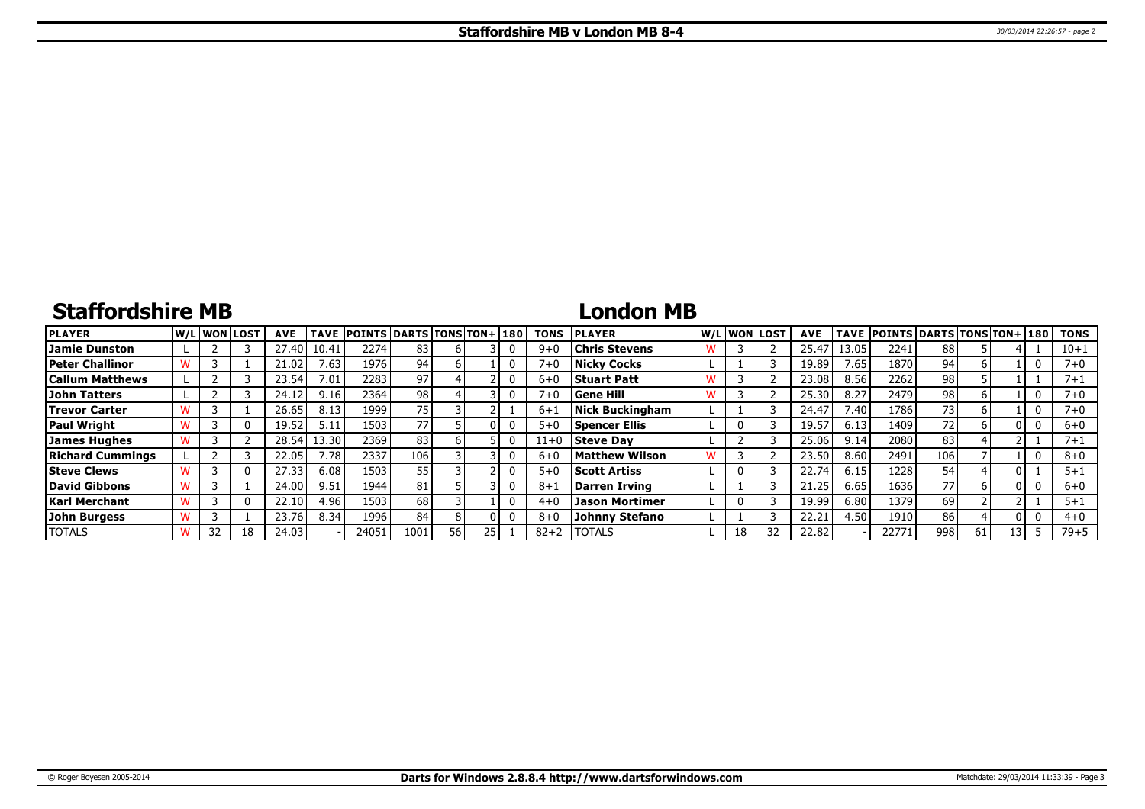# **Staffordshire MB**

### **London MB**

| <b>PLAYER</b>           | lw/Llwonllost |    | <b>AVE</b> | <b>TAVE</b>       | <b>POINTS DARTS TONS TON+1180</b> |      |      |  | <b>TONS</b> | <b>PLAYER</b>          |   |    | W/Liwonilost! | <b>AVE</b> |       | TAVE POINTS DARTS TONS TON+ 180 |                 |    |      | <b>TONS</b> |
|-------------------------|---------------|----|------------|-------------------|-----------------------------------|------|------|--|-------------|------------------------|---|----|---------------|------------|-------|---------------------------------|-----------------|----|------|-------------|
| Jamie Dunston           |               |    | 27.40      | 10.41             | 2274                              | 83   |      |  | $9 + 0$     | <b>Chris Stevens</b>   |   |    |               | 25.47      | 13.05 | 2241                            | 88              |    |      | $10 + 1$    |
| <b>Peter Challinor</b>  |               |    | 21.02      | 7.63              | 1976                              | 94   |      |  | $7 + 1$     | <b>Nicky Cocks</b>     |   |    |               | 19.89      | 7.65  | 1870                            | 94              |    |      | $7 + 0$     |
| <b>Callum Matthews</b>  |               |    | 23.54'     | 7.01              | 2283                              | 97 I |      |  | $6+0$       | <b>Stuart Patt</b>     | w |    |               | 23.08      | 8.56  | 2262                            | 98              |    |      | $7 + 1$     |
| John Tatters            |               |    | 24.12      | 9.16              | 2364                              | 98   |      |  | $7 + 0$     | <b>Gene Hill</b>       |   |    |               | 25.30      | 8.27  | 2479                            | 98              |    |      | 7+0         |
| <b>Trevor Carter</b>    |               |    | 26.65      | 8.13              | 1999                              | 75.  |      |  | $6 + 1$     | <b>Nick Buckingham</b> |   |    |               | 24.47      | 7.40  | 1786                            | 73              |    |      | 7+0         |
| <b>Paul Wright</b>      |               |    | 19.52      | 5.11              | 1503                              | 77 I |      |  | $5 + 0$     | <b>Spencer Ellis</b>   |   |    |               | 19.5       | 6.13  | 1409                            | 72 <sub>1</sub> |    |      | $6 + 0$     |
| James Hughes            |               |    | 28.54      | 13.30             | 2369                              | 83   |      |  | $11+0$      | <b>Steve Dav</b>       |   |    |               | 25.06      | 9.14  | 2080                            | 83              |    |      | 7+:         |
| <b>Richard Cummings</b> |               |    | 22.05      | 7.78 <sub>1</sub> | 2337                              | 106  |      |  | $6 + C$     | <b>Matthew Wilson</b>  |   |    |               | 23.50      | 8.60  | 2491                            | 106             |    |      | $8 + 0$     |
| <b>Steve Clews</b>      |               |    | 27.33      | 6.08              | 1503                              | 55   |      |  | $5 + 0$     | <b>Scott Artiss</b>    |   |    |               | 22.74      | 6.15  | 1228                            | 54              |    |      | $5 + 1$     |
| David Gibbons           |               |    | 24.00      | 9.51              | 1944                              | 81   |      |  | $8 + 1$     | Darren Irving          |   |    |               | 21.25      | 6.65  | 1636                            | 77              | h  | n١   | $6 + 0$     |
| Karl Merchant           |               |    | 22.10      | 4.96              | 1503 <sub>1</sub>                 | 68   |      |  | $4 + 0$     | <b>Jason Mortimer</b>  |   |    |               | 19.99      | 6.80  | 1379                            | 69              |    |      | $5 + 1$     |
| John Burgess            |               |    | 23.76      | 8.34              | 1996                              | 84   |      |  | $8 + C$     | <b>Johnny Stefano</b>  |   |    |               | 22.2       | 4.50  | 1910                            | 86              |    |      | $4 + 0$     |
| <b>TOTALS</b>           | 32            | 18 | 24.03      |                   | 24051                             | 1001 | 56 I |  | $82 + 2$    | <b>TOTALS</b>          |   | 18 | 32            | 22.82      |       | 22771                           | 998             | 61 | 13 I | $79 + 5$    |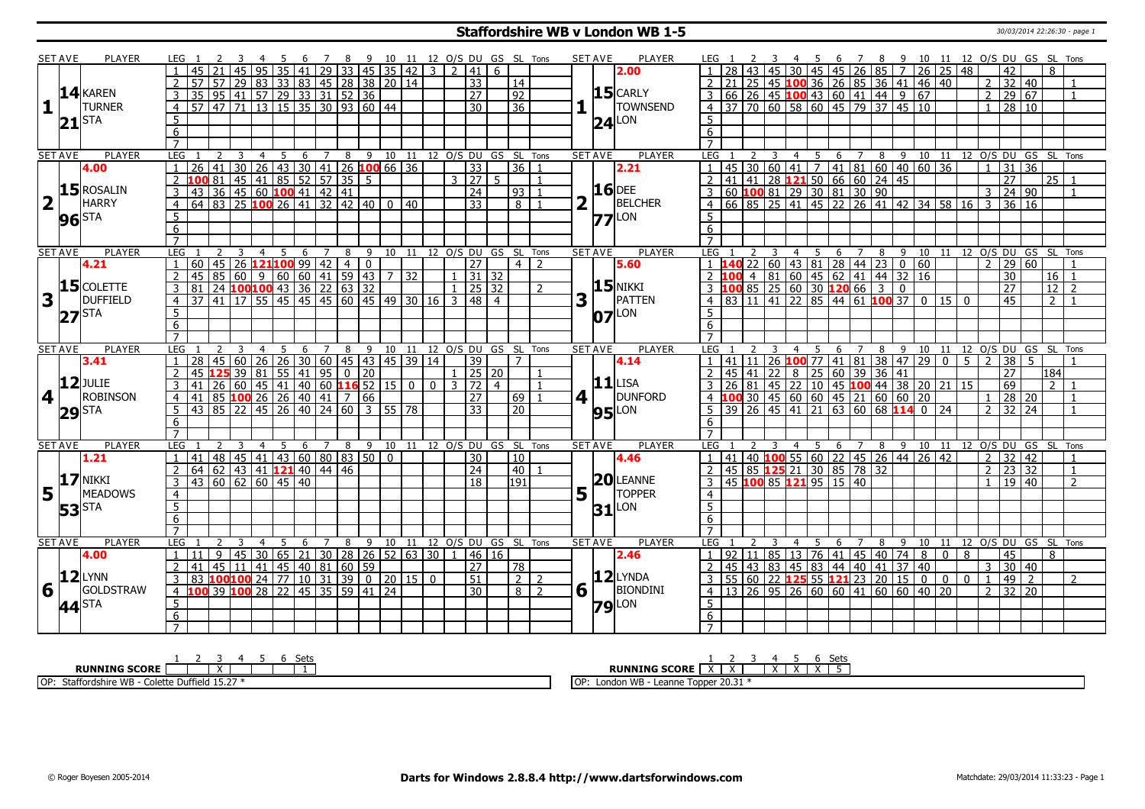### **Staffordshire WB v London WB 1-5** 30/03/2014 22:26:30 - page 1

|                         | <b>SET AVE</b> | PLAYER            | LEG 1               |                                                                                                                                                                                 | -3     |                                                      | -5             |       | <sup>7</sup>                                  |   |                                  |    |                 |                         |                |                                 |                |                      | 8 9 10 11 12 O/S DU GS SL Tons | <b>SET AVE</b> |                | PLAYER              |                     |   |                         |                |                                                                                                                                       | 6                                                                                           | $\overline{7}$ |   |   |              |                |                | 8 9 10 11 12 O/S DU GS SL Tons         |              |                 |                |
|-------------------------|----------------|-------------------|---------------------|---------------------------------------------------------------------------------------------------------------------------------------------------------------------------------|--------|------------------------------------------------------|----------------|-------|-----------------------------------------------|---|----------------------------------|----|-----------------|-------------------------|----------------|---------------------------------|----------------|----------------------|--------------------------------|----------------|----------------|---------------------|---------------------|---|-------------------------|----------------|---------------------------------------------------------------------------------------------------------------------------------------|---------------------------------------------------------------------------------------------|----------------|---|---|--------------|----------------|----------------|----------------------------------------|--------------|-----------------|----------------|
|                         |                |                   |                     |                                                                                                                                                                                 |        | 45 95                                                |                | 35 41 |                                               |   | 29 33 45 35 42                   |    |                 | $\overline{3}$          |                | 2 41                            | 6              |                      |                                |                |                | 2.00                |                     |   |                         |                | 30   45   45   26   85   7                                                                                                            |                                                                                             |                |   |   | $26$ 25 48   |                |                | 42                                     |              | 8               |                |
|                         |                |                   | $\overline{2}$      | $\overline{57}$ $\overline{57}$ $\overline{29}$ $\overline{83}$ $\overline{33}$ $\overline{83}$ $\overline{45}$ $\overline{28}$ $\overline{38}$ $\overline{20}$ $\overline{14}$ |        |                                                      |                |       |                                               |   |                                  |    |                 |                         |                | $\overline{33}$                 |                | 14                   |                                |                |                |                     |                     |   |                         |                | 25 45 100 36 26 85 36 41 46 40                                                                                                        |                                                                                             |                |   |   |              |                | $2^{\circ}$    | 32                                     | $\sqrt{40}$  |                 |                |
|                         |                | $14$ <b>KAREN</b> | 3                   |                                                                                                                                                                                 |        |                                                      |                |       |                                               |   |                                  |    |                 |                         |                | $\overline{27}$                 |                | $\overline{92}$      |                                |                |                | $15$ CARLY          |                     |   |                         |                |                                                                                                                                       |                                                                                             |                |   |   |              |                | $\overline{2}$ | 29 67                                  |              |                 |                |
| 1                       |                | <b>TURNER</b>     | $\overline{4}$      | $\frac{35}{35} \frac{95}{95} \frac{42}{41} \frac{57}{57} \frac{29}{29} \frac{33}{33} \frac{31}{31} \frac{52}{52} \frac{36}{36} \frac{12}{36}$                                   |        |                                                      |                |       |                                               |   |                                  |    |                 |                         |                | $\overline{30}$                 |                | $\overline{36}$      |                                |                |                | <b>TOWNSEND</b>     |                     |   |                         |                |                                                                                                                                       |                                                                                             |                |   |   |              |                | $\mathbf{1}$   | 28 10                                  |              |                 |                |
|                         |                |                   |                     |                                                                                                                                                                                 |        |                                                      |                |       |                                               |   |                                  |    |                 |                         |                |                                 |                |                      |                                |                |                |                     |                     |   |                         |                |                                                                                                                                       |                                                                                             |                |   |   |              |                |                |                                        |              |                 |                |
|                         | $\bf{21}$      | ISTA              | 5                   |                                                                                                                                                                                 |        |                                                      |                |       |                                               |   |                                  |    |                 |                         |                |                                 |                |                      |                                |                | 24             | LON                 | 5 <sup>1</sup>      |   |                         |                |                                                                                                                                       |                                                                                             |                |   |   |              |                |                |                                        |              |                 |                |
|                         |                |                   | 6                   |                                                                                                                                                                                 |        |                                                      |                |       |                                               |   |                                  |    |                 |                         |                |                                 |                |                      |                                |                |                |                     | 6                   |   |                         |                |                                                                                                                                       |                                                                                             |                |   |   |              |                |                |                                        |              |                 |                |
|                         |                |                   | $\overline{7}$      |                                                                                                                                                                                 |        |                                                      |                |       |                                               |   |                                  |    |                 |                         |                |                                 |                |                      |                                |                |                |                     | $\overline{7}$      |   |                         |                |                                                                                                                                       |                                                                                             |                |   |   |              |                |                |                                        |              |                 |                |
|                         | <b>SET AVE</b> | <b>PLAYER</b>     | LEG 1               |                                                                                                                                                                                 | 2<br>3 | $\overline{4}$                                       | $5\overline{}$ | 6     |                                               |   | 7 8 9 10 11 12 O/S DU GS SL Tons |    |                 |                         |                |                                 |                |                      |                                | <b>SET AVE</b> |                | <b>PLAYER</b>       | LEG 1               | 2 | $\overline{\mathbf{3}}$ |                |                                                                                                                                       |                                                                                             |                |   |   |              |                |                | 4 5 6 7 8 9 10 11 12 O/S DU GS SL Tons |              |                 |                |
|                         |                | 4.00              | $\mathbf{1}$        | 126 41 30 26 43 30 41 26 100 66 36<br>100 81 45 41 85 52 57 35 5<br>43 36 45 60 100 41 42 41<br>64 83 25 100 26 41 32 42 40 0 40                                                |        |                                                      |                |       |                                               |   |                                  |    |                 |                         |                | $\overline{33}$                 |                | $\overline{36}$ 1    |                                |                |                | 2.21                |                     |   |                         |                |                                                                                                                                       |                                                                                             |                |   |   |              |                |                | $31 \mid 36$                           |              |                 |                |
|                         |                |                   | 2                   |                                                                                                                                                                                 |        |                                                      |                |       |                                               |   |                                  |    |                 |                         |                | 3 27                            | 5 <sup>1</sup> |                      | $\overline{1}$                 |                |                |                     |                     |   |                         |                |                                                                                                                                       |                                                                                             |                |   |   |              |                |                | $\overline{27}$                        |              | $\sqrt{25}$ 1   |                |
|                         |                | $15$ ROSALIN      | $\overline{3}$      |                                                                                                                                                                                 |        |                                                      |                |       |                                               |   |                                  |    |                 |                         |                | $\overline{24}$                 |                | 93                   |                                |                |                | <b>16</b> DEE       |                     |   |                         |                |                                                                                                                                       |                                                                                             |                |   |   |              |                |                | 24 90                                  |              |                 |                |
| $\overline{\mathbf{2}}$ |                | <b>HARRY</b>      | $\overline{4}$      |                                                                                                                                                                                 |        |                                                      |                |       |                                               |   |                                  |    |                 |                         |                | $\overline{33}$                 |                | 8                    |                                |                |                | BELCHER             |                     |   |                         |                |                                                                                                                                       |                                                                                             |                |   |   |              |                |                | 36 16                                  |              |                 |                |
|                         |                | <b>96</b> STA     | $5\overline{)}$     |                                                                                                                                                                                 |        |                                                      |                |       |                                               |   |                                  |    |                 |                         |                |                                 |                |                      |                                |                |                | $77$ <sup>LON</sup> | 5                   |   |                         |                |                                                                                                                                       |                                                                                             |                |   |   |              |                |                |                                        |              |                 |                |
|                         |                |                   | $6\overline{6}$     |                                                                                                                                                                                 |        |                                                      |                |       |                                               |   |                                  |    |                 |                         |                |                                 |                |                      |                                |                |                |                     | 6                   |   |                         |                |                                                                                                                                       |                                                                                             |                |   |   |              |                |                |                                        |              |                 |                |
|                         |                |                   | $\overline{7}$      |                                                                                                                                                                                 |        |                                                      |                |       |                                               |   |                                  |    |                 |                         |                |                                 |                |                      |                                |                |                |                     |                     |   |                         |                |                                                                                                                                       |                                                                                             |                |   |   |              |                |                |                                        |              |                 |                |
|                         | <b>SET AVE</b> | <b>PLAYER</b>     | LEG                 |                                                                                                                                                                                 |        | $\overline{4}$                                       | 5              | 6     | 7                                             | 8 | 9                                | 10 | $\overline{11}$ |                         |                | 12 0/S DU GS                    |                | SL Tons              |                                |                | <b>SET AVE</b> | <b>PLAYER</b>       | LEG                 |   |                         | $\overline{4}$ | 5                                                                                                                                     | 6                                                                                           | $\overline{7}$ | 8 |   | $9 \quad 10$ |                |                | 11 12 0/S DU GS SL Tons                |              |                 |                |
|                         |                | 4.21              |                     | 160 45 26 121100 99 42 4 0<br>45 85 60 9 60 60 41 59 43 7 32<br>81 24 100100 43 36 22 63 32<br>37 41 17 55 45 45 45 60 45 49 30 16                                              |        |                                                      |                |       |                                               |   |                                  |    |                 |                         |                | $\overline{27}$                 |                | 4                    | $\overline{2}$                 |                |                | 5.60                |                     |   |                         |                | 1 140 22 60 43 81 28 44 23 0 60<br>2 100 4 81 60 45 62 41 44 32 16<br>3 100 85 25 60 30 120 66 3 0<br>4 83 11 41 22 85 44 61 100 37 0 |                                                                                             |                |   |   |              |                | $\mathcal{L}$  | $\overline{29}$                        | 60           |                 |                |
|                         |                |                   | 2                   |                                                                                                                                                                                 |        |                                                      |                |       |                                               |   |                                  |    |                 |                         |                |                                 |                |                      |                                |                |                |                     |                     |   |                         |                |                                                                                                                                       |                                                                                             |                |   |   |              |                |                | $\overline{30}$                        |              | 16 1            |                |
|                         |                | $15$ COLETTE      | $\overline{3}$      |                                                                                                                                                                                 |        |                                                      |                |       |                                               |   |                                  |    |                 |                         |                | $1 \overline{25} \overline{32}$ |                |                      | $\overline{2}$                 |                |                | $15$ NIKKI          |                     |   |                         |                |                                                                                                                                       |                                                                                             |                |   |   |              |                |                | $\overline{27}$                        |              | $\overline{12}$ | $\overline{2}$ |
| 3                       |                | <b>DUFFIELD</b>   | $\overline{4}$      |                                                                                                                                                                                 |        |                                                      |                |       |                                               |   |                                  |    |                 |                         |                | 3  48                           | $\overline{4}$ |                      |                                | 3              |                | PATTEN              |                     |   |                         |                |                                                                                                                                       |                                                                                             |                |   |   | $0$ 15 0     |                |                | 45                                     |              | $\overline{2}$  |                |
|                         |                |                   | -5                  |                                                                                                                                                                                 |        |                                                      |                |       |                                               |   |                                  |    |                 |                         |                |                                 |                |                      |                                |                |                | $ 07 $ LON          | 5 <sup>1</sup>      |   |                         |                |                                                                                                                                       |                                                                                             |                |   |   |              |                |                |                                        |              |                 |                |
|                         |                | $27$ STA          | 6                   |                                                                                                                                                                                 |        |                                                      |                |       |                                               |   |                                  |    |                 |                         |                |                                 |                |                      |                                |                |                |                     | 6 <sup>7</sup>      |   |                         |                |                                                                                                                                       |                                                                                             |                |   |   |              |                |                |                                        |              |                 |                |
|                         |                |                   | $\overline{7}$      |                                                                                                                                                                                 |        |                                                      |                |       |                                               |   |                                  |    |                 |                         |                |                                 |                |                      |                                |                |                |                     | $\overline{7}$      |   |                         |                |                                                                                                                                       |                                                                                             |                |   |   |              |                |                |                                        |              |                 |                |
|                         | <b>SET AVE</b> | <b>PLAYER</b>     | LEG                 |                                                                                                                                                                                 |        | $\overline{4}$                                       | - 5            | 6     | $\overline{7}$                                |   | 8 9 10 11 12 0/S DU GS SL Tons   |    |                 |                         |                |                                 |                |                      |                                |                | <b>SET AVE</b> | <b>PLAYER</b>       | LEG                 |   |                         | $\overline{4}$ | 5                                                                                                                                     |                                                                                             |                |   |   |              |                |                | 6 7 8 9 10 11 12 O/S DU GS SL Tons     |              |                 |                |
|                         |                | 3.41              |                     | 28                                                                                                                                                                              |        | 45   60   26   26   30   60   45   43   45   39   14 |                |       |                                               |   |                                  |    |                 |                         |                | 39                              |                | $\overline{7}$       |                                |                |                | 4.14                |                     |   |                         |                |                                                                                                                                       |                                                                                             |                |   |   |              | 5              | $\overline{2}$ | 38                                     | -5           |                 |                |
|                         |                |                   |                     | 45                                                                                                                                                                              |        | $125$ 39 81                                          |                |       |                                               |   |                                  |    |                 |                         |                | $1 \mid 25 \mid 20$             |                |                      |                                |                |                |                     |                     |   |                         |                | 1 41 11 26 <b>100</b> 77 41 81 38 47 29 0<br>2 45 41 22 8 25 60 39 36 41                                                              |                                                                                             |                |   |   |              |                |                | 27                                     |              | 184             |                |
|                         |                | $12$ JULIE        | $\overline{2}$      |                                                                                                                                                                                 |        |                                                      |                |       | $\left[ 55 \right] 41 \left[ 95 \right] 0$ 20 |   |                                  |    |                 |                         |                | $3 \mid 72$                     |                |                      |                                |                |                | $11$ LISA           |                     |   |                         |                |                                                                                                                                       |                                                                                             |                |   |   |              |                |                |                                        |              | $\overline{2}$  |                |
|                         |                | <b>ROBINSON</b>   |                     | 41 26 60 45 41 40 60 16 52 15<br>41 85 100 26 26 40 41 7 66                                                                                                                     |        |                                                      |                |       |                                               |   |                                  |    | $\overline{0}$  | $\mathbf{0}$            |                |                                 | $\overline{4}$ |                      |                                |                |                | DUNFORD             |                     |   |                         |                | 26 81 45 22 10 45 100 44 38 20 21 15                                                                                                  |                                                                                             |                |   |   |              |                |                | 69                                     |              |                 |                |
| 4                       |                |                   | $\overline{4}$      |                                                                                                                                                                                 |        |                                                      |                |       |                                               |   |                                  |    |                 |                         |                | $\overline{27}$                 |                | 69                   |                                | 4              |                |                     |                     |   |                         |                | 4 100 30 45 60 60 45 21 60 60 20                                                                                                      |                                                                                             |                |   |   |              |                | $\mathbf{1}$   | 28 20                                  |              |                 |                |
|                         |                | $ 29 $ STA        | $5\overline{)}$     | $\boxed{43}$ $\boxed{85}$ $\boxed{22}$ $\boxed{45}$ $\boxed{26}$ $\boxed{40}$ $\boxed{24}$ $\boxed{60}$ $\boxed{3}$ $\boxed{55}$ $\boxed{78}$                                   |        |                                                      |                |       |                                               |   |                                  |    |                 |                         |                | $\overline{33}$                 |                | $\overline{20}$      |                                |                |                | <b>95</b> LON       |                     |   |                         |                |                                                                                                                                       |                                                                                             |                |   |   |              |                | $\overline{2}$ | $32 \mid 24$                           |              |                 |                |
|                         |                |                   | 6                   |                                                                                                                                                                                 |        |                                                      |                |       |                                               |   |                                  |    |                 |                         |                |                                 |                |                      |                                |                |                |                     | 6                   |   |                         |                |                                                                                                                                       |                                                                                             |                |   |   |              |                |                |                                        |              |                 |                |
|                         |                |                   | $\overline{7}$      |                                                                                                                                                                                 |        |                                                      |                |       |                                               |   |                                  |    |                 |                         |                |                                 |                |                      |                                |                |                |                     | $7^{\circ}$         |   |                         |                |                                                                                                                                       |                                                                                             |                |   |   |              |                |                |                                        |              |                 |                |
|                         | <b>SET AVE</b> | <b>PLAYER</b>     | LEG                 |                                                                                                                                                                                 |        | 4                                                    | 5              | 6     | 7                                             | 8 | 9                                | 10 | 11              |                         |                |                                 |                | 12 O/S DU GS SL Tons |                                |                | <b>SET AVE</b> | <b>PLAYER</b>       | LEG                 |   |                         | 4              | 5                                                                                                                                     | 6                                                                                           | 7              | 8 | 9 |              |                |                | 10 11 12 O/S DU GS SL Tons             |              |                 |                |
|                         |                | 1.21              |                     | 41 48 45 41 43 60 80 83 50 0                                                                                                                                                    |        |                                                      |                |       |                                               |   |                                  |    |                 |                         |                | 30                              |                | 10                   |                                |                |                | 4.46                |                     |   |                         |                | $1$   41   40   100   55   60   22   45   26   44   26   42                                                                           |                                                                                             |                |   |   |              |                | $\overline{2}$ | 32   42                                |              |                 |                |
|                         |                |                   | $\overline{2}$      | $64$ 62 43 41 <b>121</b> 40 44 46                                                                                                                                               |        |                                                      |                |       |                                               |   |                                  |    |                 |                         |                | $\overline{24}$                 |                | 40                   |                                |                |                |                     |                     |   |                         |                | 2 45 85 125 21 30 85 78 32                                                                                                            |                                                                                             |                |   |   |              |                | $2^{\circ}$    | 23                                     | 32           |                 | $\mathbf{1}$   |
|                         |                | $17$ NIKKI        | $\overline{3}$      | 43 60 62 60 45 40                                                                                                                                                               |        |                                                      |                |       |                                               |   |                                  |    |                 |                         |                | $\overline{18}$                 |                | 191                  |                                |                |                | $20$ LEANNE         |                     |   |                         |                | 3 45 100 85 121 95 15 40                                                                                                              |                                                                                             |                |   |   |              |                | $\mathbf{1}$   | 19                                     | $ 40\rangle$ |                 | $\overline{2}$ |
| 5                       |                | <b>MEADOWS</b>    | $\overline{4}$      |                                                                                                                                                                                 |        |                                                      |                |       |                                               |   |                                  |    |                 |                         |                |                                 |                |                      |                                | 5              |                | <b>TOPPER</b>       | $\overline{4}$      |   |                         |                |                                                                                                                                       |                                                                                             |                |   |   |              |                |                |                                        |              |                 |                |
|                         |                | <b>53</b> STA     | 5                   |                                                                                                                                                                                 |        |                                                      |                |       |                                               |   |                                  |    |                 |                         |                |                                 |                |                      |                                |                | 31             | Lon                 | $\overline{5}$      |   |                         |                |                                                                                                                                       |                                                                                             |                |   |   |              |                |                |                                        |              |                 |                |
|                         |                |                   | 6                   |                                                                                                                                                                                 |        |                                                      |                |       |                                               |   |                                  |    |                 |                         |                |                                 |                |                      |                                |                |                |                     | 6                   |   |                         |                |                                                                                                                                       |                                                                                             |                |   |   |              |                |                |                                        |              |                 |                |
|                         |                |                   | $\overline{7}$      |                                                                                                                                                                                 |        |                                                      |                |       |                                               |   |                                  |    |                 |                         |                |                                 |                |                      |                                |                |                |                     |                     |   |                         |                |                                                                                                                                       |                                                                                             |                |   |   |              |                |                |                                        |              |                 |                |
|                         | <b>SET AVE</b> | <b>PLAYER</b>     | <b>LEG</b>          |                                                                                                                                                                                 |        | $\overline{4}$                                       | 5              | 6     | $\overline{7}$                                | 8 | 9                                | 10 |                 | 11 12 0/S DU GS SL Tons |                |                                 |                |                      |                                | <b>SET AVE</b> |                | <b>PLAYER</b>       | <b>LEG</b>          |   |                         | 4              | 5                                                                                                                                     | 6                                                                                           | $\overline{7}$ | 8 | 9 |              |                |                | 10 11 12 0/S DU GS SL Tons             |              |                 |                |
|                         |                | 4.00              | $\mathbf{1}$        | 11                                                                                                                                                                              | 9      | 45 30 65 21 30 28 26 52 63 30                        |                |       |                                               |   |                                  |    |                 |                         | $\overline{1}$ | 46 16                           |                |                      |                                |                |                | 2.46                |                     |   |                         |                | $1   92   11   85   13   76   41   45   40   74   8   0$                                                                              |                                                                                             |                |   |   |              | 8              |                | 45                                     |              | 8               |                |
|                         |                |                   | $\overline{2}$      | 41                                                                                                                                                                              |        | 45 11 41                                             |                |       | 45   40   81   60   59                        |   |                                  |    |                 |                         |                | $\overline{27}$                 |                | 78                   |                                |                |                |                     |                     |   |                         |                | 2 45 43 83 45 83 44 40 41 37 40                                                                                                       |                                                                                             |                |   |   |              |                | 3              | 30   40                                |              |                 |                |
|                         |                |                   | 3                   | 83 100 100 24 77 10 31 39 0 20 15 0                                                                                                                                             |        |                                                      |                |       |                                               |   |                                  |    |                 |                         |                | $\overline{51}$                 |                | $\overline{2}$       | 2                              |                |                | $12$ LYNDA          |                     |   |                         |                | 3   55   60   22   125   55   121   23   20   15   0   0                                                                              |                                                                                             |                |   |   |              | $\overline{0}$ | $\mathbf{1}$   | 49                                     | $\sqrt{2}$   |                 | $\overline{2}$ |
|                         |                |                   |                     |                                                                                                                                                                                 |        |                                                      |                |       |                                               |   |                                  |    |                 |                         |                |                                 |                |                      |                                |                |                |                     |                     |   |                         |                |                                                                                                                                       |                                                                                             |                |   |   |              |                |                |                                        |              |                 |                |
|                         |                | $ 12 $ LYNN       |                     |                                                                                                                                                                                 |        |                                                      |                |       |                                               |   |                                  |    |                 |                         |                |                                 |                |                      |                                |                |                |                     |                     |   |                         |                |                                                                                                                                       |                                                                                             |                |   |   |              |                |                |                                        |              |                 |                |
| 6                       |                | GOLDSTRAW         | $\overline{4}$      | 100 39 100 28 22 45 35 59 41 24                                                                                                                                                 |        |                                                      |                |       |                                               |   |                                  |    |                 |                         |                | $\overline{30}$                 |                | 8 <sup>1</sup>       | $\overline{2}$                 | 6              |                | BIONDINI            |                     |   |                         |                |                                                                                                                                       | $4 \mid 13 \mid 26 \mid 95 \mid 26 \mid 60 \mid 60 \mid 41 \mid 60 \mid 60 \mid 40 \mid 20$ |                |   |   |              |                | $\mathcal{P}$  | $32 \mid 20$                           |              |                 |                |
|                         |                | 44 <sup>STA</sup> | $\overline{5}$      |                                                                                                                                                                                 |        |                                                      |                |       |                                               |   |                                  |    |                 |                         |                |                                 |                |                      |                                |                |                | $79$ <sup>LON</sup> | 5 <sup>1</sup>      |   |                         |                |                                                                                                                                       |                                                                                             |                |   |   |              |                |                |                                        |              |                 |                |
|                         |                |                   | 6<br>$\overline{7}$ |                                                                                                                                                                                 |        |                                                      |                |       |                                               |   |                                  |    |                 |                         |                |                                 |                |                      |                                |                |                |                     | 6<br>$\overline{7}$ |   |                         |                |                                                                                                                                       |                                                                                             |                |   |   |              |                |                |                                        |              |                 |                |

| ום ר<br>ັບພ                                                            | Sets                                                    |
|------------------------------------------------------------------------|---------------------------------------------------------|
| <b>RUNNING SCORE</b>                                                   | <b>RUNNING SCORE</b><br>. .<br>$\overline{\phantom{a}}$ |
| $-1527$<br>OP:<br>Duffield 15.2<br>∩ - dshire WBس.<br>`olott⊾<br>Staff | .20.31<br>London WB<br>∩D∙<br>Topper<br>Leanne<br>ושו   |